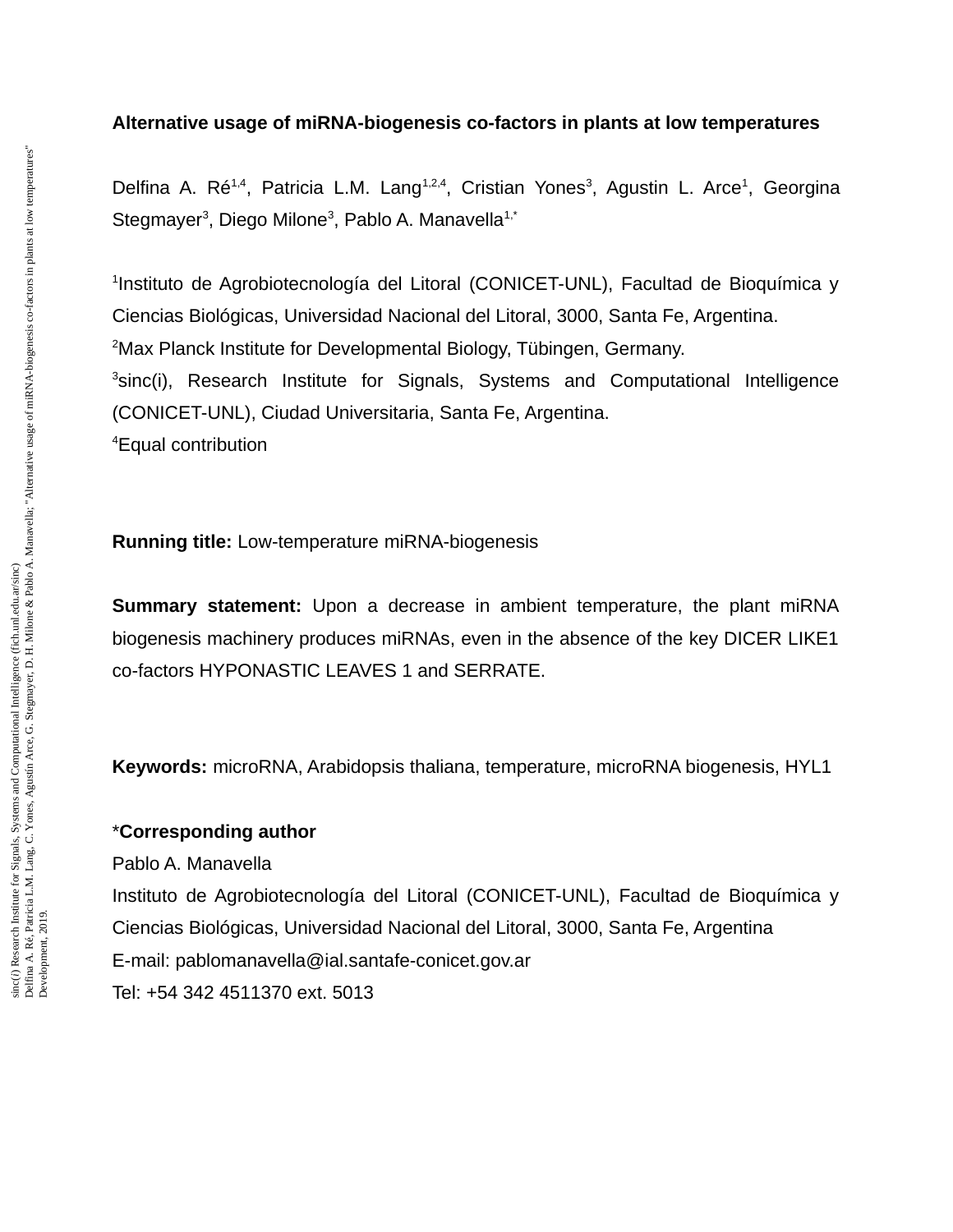#### **Alternative usage of miRNA-biogenesis co-factors in plants at low temperatures**

Delfina A. Ré<sup>1,4</sup>, Patricia L.M. Lang<sup>1,2,4</sup>, Cristian Yones<sup>3</sup>, Agustin L. Arce<sup>1</sup>, Georgina Stegmayer<sup>3</sup>, Diego Milone<sup>3</sup>, Pablo A. Manavella<sup>1,\*</sup>

<sup>1</sup>Instituto de Agrobiotecnología del Litoral (CONICET-UNL), Facultad de Bioquímica y Ciencias Biológicas, Universidad Nacional del Litoral, 3000, Santa Fe, Argentina. <sup>2</sup>Max Planck Institute for Developmental Biology, Tübingen, Germany. <sup>3</sup>sinc(i), Research Institute for Signals, Systems and Computational Intelligence (CONICET-UNL), Ciudad Universitaria, Santa Fe, Argentina. <sup>4</sup>Equal contribution

**Running title:** Low-temperature miRNA-biogenesis

**Summary statement:** Upon a decrease in ambient temperature, the plant miRNA biogenesis machinery produces miRNAs, even in the absence of the key DICER LIKE1 co-factors HYPONASTIC LEAVES 1 and SERRATE.

**Keywords:** microRNA, Arabidopsis thaliana, temperature, microRNA biogenesis, HYL1

### \***Corresponding author**

Pablo A. Manavella

Instituto de Agrobiotecnología del Litoral (CONICET-UNL), Facultad de Bioquímica y Ciencias Biológicas, Universidad Nacional del Litoral, 3000, Santa Fe, Argentina E-mail: pablomanavella@ial.santafe-conicet.gov.ar Tel: +54 342 4511370 ext. 5013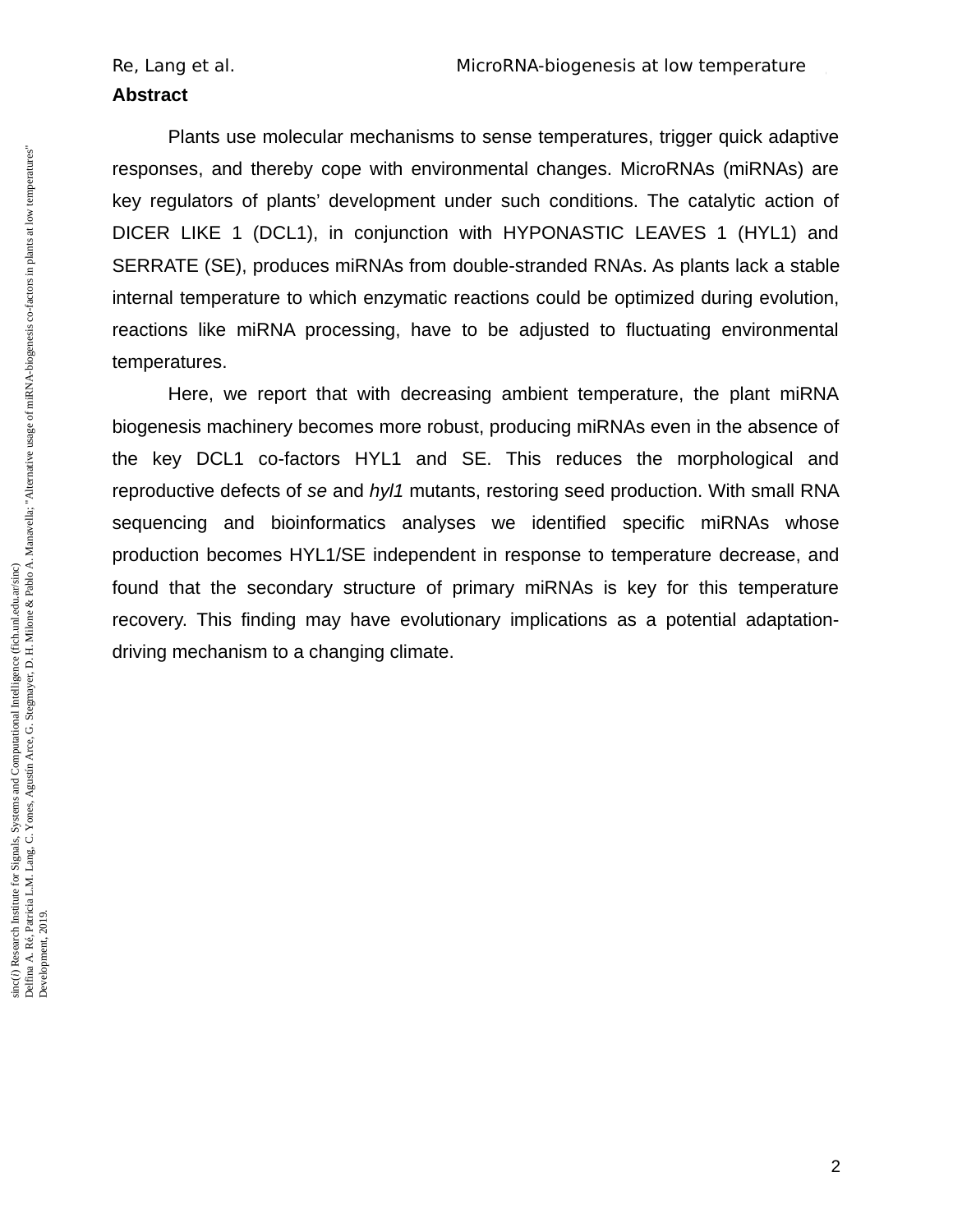#### **Abstract**

Plants use molecular mechanisms to sense temperatures, trigger quick adaptive responses, and thereby cope with environmental changes. MicroRNAs (miRNAs) are key regulators of plants' development under such conditions. The catalytic action of DICER LIKE 1 (DCL1), in conjunction with HYPONASTIC LEAVES 1 (HYL1) and SERRATE (SE), produces miRNAs from double-stranded RNAs. As plants lack a stable internal temperature to which enzymatic reactions could be optimized during evolution, reactions like miRNA processing, have to be adjusted to fluctuating environmental temperatures.

Here, we report that with decreasing ambient temperature, the plant miRNA biogenesis machinery becomes more robust, producing miRNAs even in the absence of the key DCL1 co-factors HYL1 and SE. This reduces the morphological and reproductive defects of *se* and *hyl1* mutants, restoring seed production. With small RNA sequencing and bioinformatics analyses we identified specific miRNAs whose production becomes HYL1/SE independent in response to temperature decrease, and found that the secondary structure of primary miRNAs is key for this temperature recovery. This finding may have evolutionary implications as a potential adaptationdriving mechanism to a changing climate.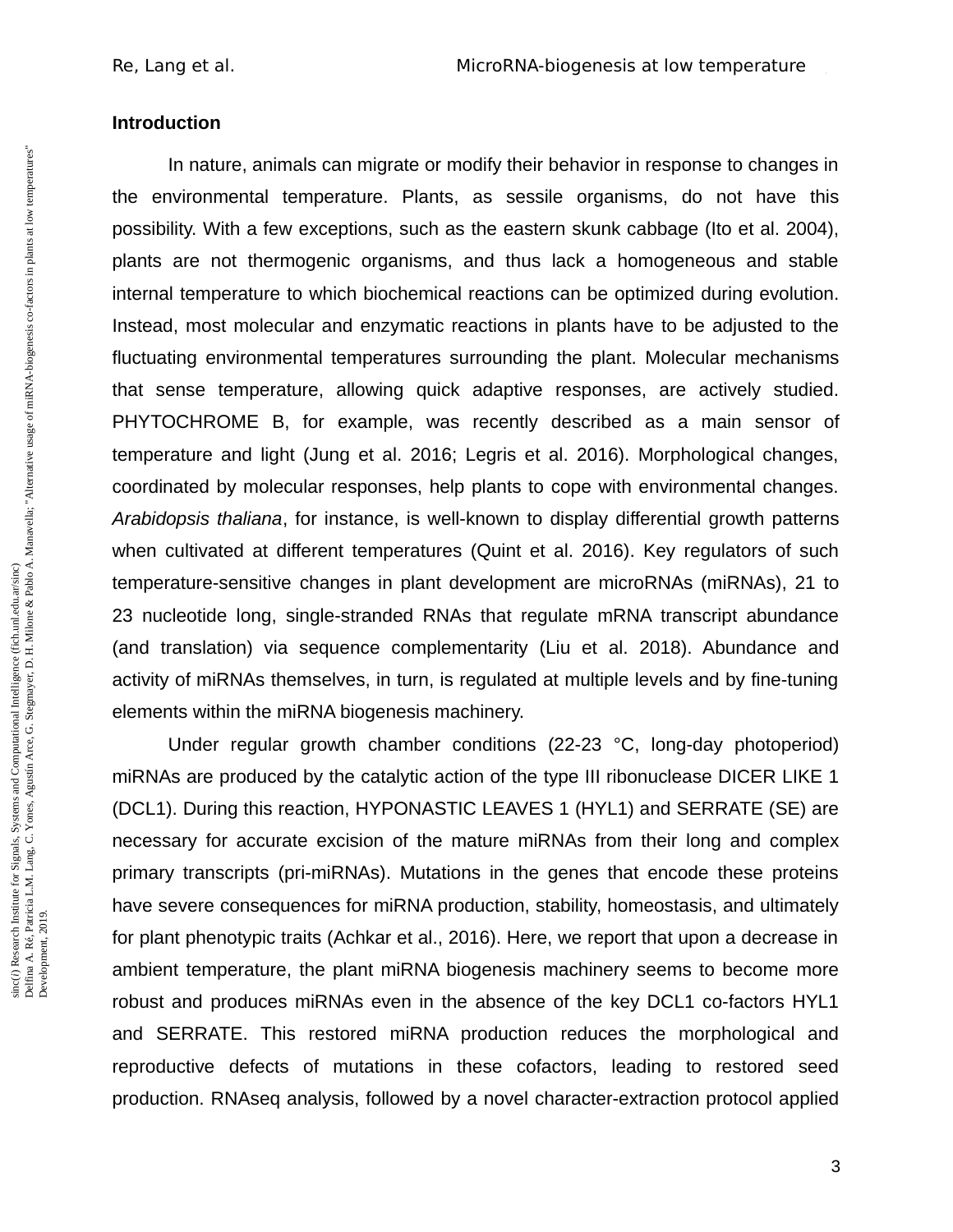### **Introduction**

In nature, animals can migrate or modify their behavior in response to changes in the environmental temperature. Plants, as sessile organisms, do not have this possibility. With a few exceptions, such as the eastern skunk cabbage (Ito et al. 2004), plants are not thermogenic organisms, and thus lack a homogeneous and stable internal temperature to which biochemical reactions can be optimized during evolution. Instead, most molecular and enzymatic reactions in plants have to be adjusted to the fluctuating environmental temperatures surrounding the plant. Molecular mechanisms that sense temperature, allowing quick adaptive responses, are actively studied. PHYTOCHROME B, for example, was recently described as a main sensor of temperature and light (Jung et al. 2016; Legris et al. 2016). Morphological changes, coordinated by molecular responses, help plants to cope with environmental changes. *Arabidopsis thaliana*, for instance, is well-known to display differential growth patterns when cultivated at different temperatures (Quint et al. 2016). Key regulators of such temperature-sensitive changes in plant development are microRNAs (miRNAs), 21 to 23 nucleotide long, single-stranded RNAs that regulate mRNA transcript abundance (and translation) via sequence complementarity (Liu et al. 2018). Abundance and activity of miRNAs themselves, in turn, is regulated at multiple levels and by fine-tuning elements within the miRNA biogenesis machinery.

Under regular growth chamber conditions (22-23 °C, long-day photoperiod) miRNAs are produced by the catalytic action of the type III ribonuclease DICER LIKE 1 (DCL1). During this reaction, HYPONASTIC LEAVES 1 (HYL1) and SERRATE (SE) are necessary for accurate excision of the mature miRNAs from their long and complex primary transcripts (pri-miRNAs). Mutations in the genes that encode these proteins have severe consequences for miRNA production, stability, homeostasis, and ultimately for plant phenotypic traits (Achkar et al., 2016). Here, we report that upon a decrease in ambient temperature, the plant miRNA biogenesis machinery seems to become more robust and produces miRNAs even in the absence of the key DCL1 co-factors HYL1 and SERRATE. This restored miRNA production reduces the morphological and reproductive defects of mutations in these cofactors, leading to restored seed production. RNAseq analysis, followed by a novel character-extraction protocol applied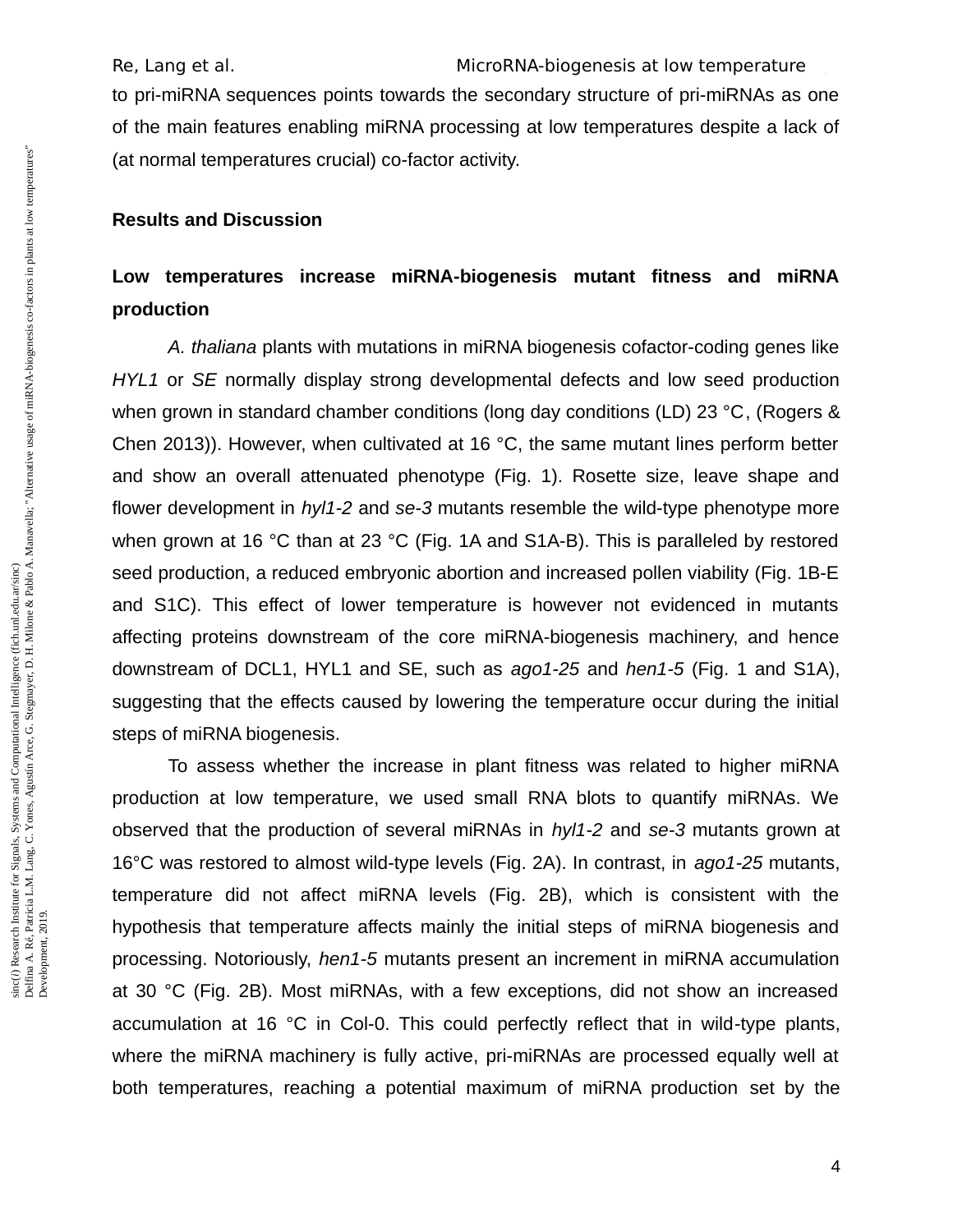Re, Lang et al. The MicroRNA-biogenesis at low temperature to pri-miRNA sequences points towards the secondary structure of pri-miRNAs as one of the main features enabling miRNA processing at low temperatures despite a lack of (at normal temperatures crucial) co-factor activity.

#### **Results and Discussion**

# **Low temperatures increase miRNA-biogenesis mutant fitness and miRNA production**

*A. thaliana* plants with mutations in miRNA biogenesis cofactor-coding genes like *HYL1* or *SE* normally display strong developmental defects and low seed production when grown in standard chamber conditions (long day conditions (LD) 23 °C, (Rogers & Chen 2013)). However, when cultivated at 16 °C, the same mutant lines perform better and show an overall attenuated phenotype (Fig. 1). Rosette size, leave shape and flower development in *hyl1-2* and *se-3* mutants resemble the wild-type phenotype more when grown at 16 °C than at 23 °C (Fig. 1A and S1A-B). This is paralleled by restored seed production, a reduced embryonic abortion and increased pollen viability (Fig. 1B-E and S1C). This effect of lower temperature is however not evidenced in mutants affecting proteins downstream of the core miRNA-biogenesis machinery, and hence downstream of DCL1, HYL1 and SE, such as *ago1-25* and *hen1-5* (Fig. 1 and S1A), suggesting that the effects caused by lowering the temperature occur during the initial steps of miRNA biogenesis.

To assess whether the increase in plant fitness was related to higher miRNA production at low temperature, we used small RNA blots to quantify miRNAs. We observed that the production of several miRNAs in *hyl1-2* and *se-3* mutants grown at 16°C was restored to almost wild-type levels (Fig. 2A). In contrast, in *ago1-25* mutants, temperature did not affect miRNA levels (Fig. 2B), which is consistent with the hypothesis that temperature affects mainly the initial steps of miRNA biogenesis and processing. Notoriously, *hen1-5* mutants present an increment in miRNA accumulation at 30 °C (Fig. 2B). Most miRNAs, with a few exceptions, did not show an increased accumulation at 16 °C in Col-0. This could perfectly reflect that in wild-type plants, where the miRNA machinery is fully active, pri-miRNAs are processed equally well at both temperatures, reaching a potential maximum of miRNA production set by the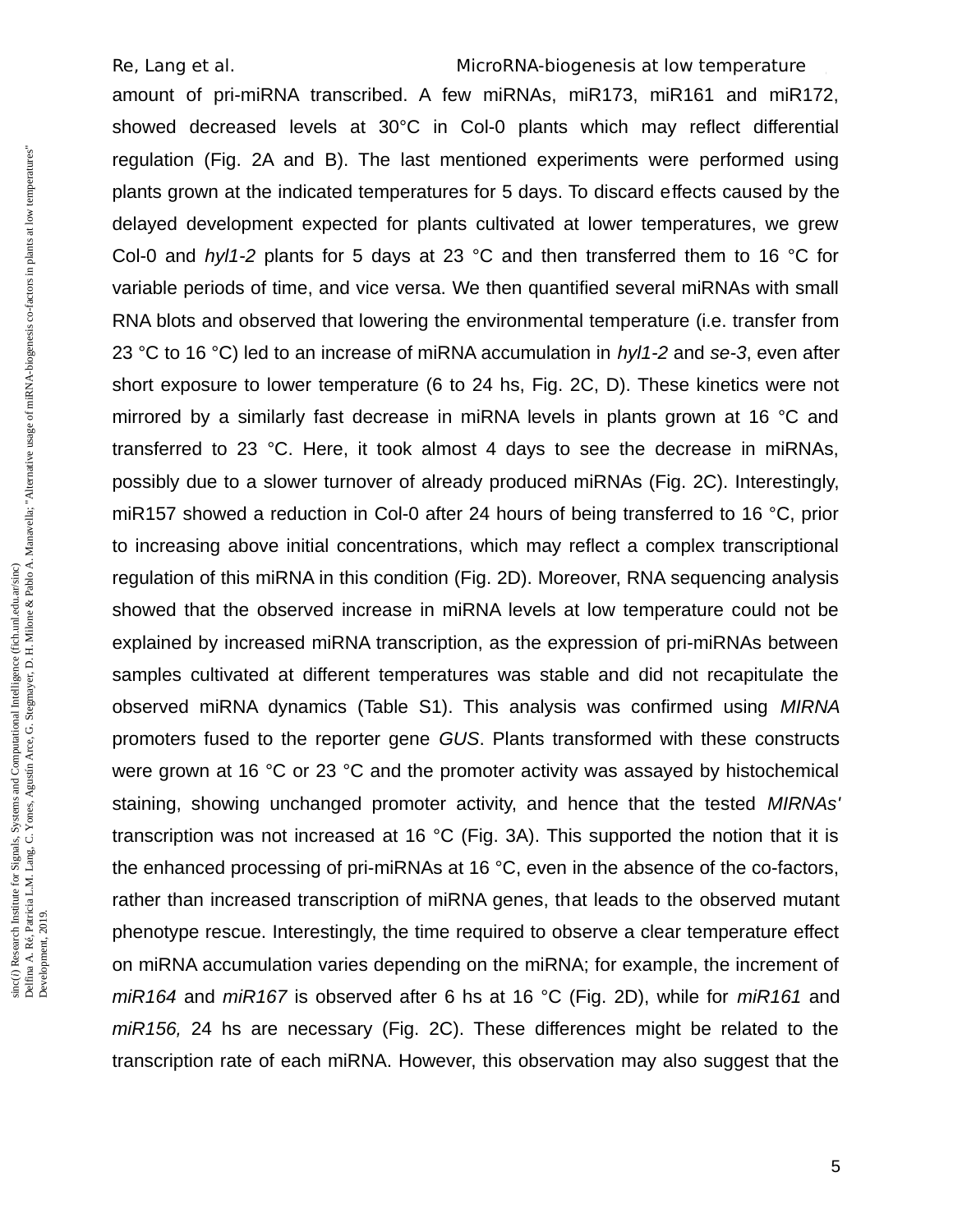amount of pri-miRNA transcribed. A few miRNAs, miR173, miR161 and miR172, showed decreased levels at 30°C in Col-0 plants which may reflect differential regulation (Fig. 2A and B). The last mentioned experiments were performed using plants grown at the indicated temperatures for 5 days. To discard effects caused by the delayed development expected for plants cultivated at lower temperatures, we grew Col-0 and *hyl1-2* plants for 5 days at 23 °C and then transferred them to 16 °C for variable periods of time, and vice versa. We then quantified several miRNAs with small RNA blots and observed that lowering the environmental temperature (i.e. transfer from 23 °C to 16 °C) led to an increase of miRNA accumulation in *hyl1-2* and *se-3*, even after short exposure to lower temperature (6 to 24 hs, Fig. 2C, D). These kinetics were not mirrored by a similarly fast decrease in miRNA levels in plants grown at 16 °C and transferred to 23 °C. Here, it took almost 4 days to see the decrease in miRNAs, possibly due to a slower turnover of already produced miRNAs (Fig. 2C). Interestingly, miR157 showed a reduction in Col-0 after 24 hours of being transferred to 16 °C, prior to increasing above initial concentrations, which may reflect a complex transcriptional regulation of this miRNA in this condition (Fig. 2D). Moreover, RNA sequencing analysis showed that the observed increase in miRNA levels at low temperature could not be explained by increased miRNA transcription, as the expression of pri-miRNAs between samples cultivated at different temperatures was stable and did not recapitulate the observed miRNA dynamics (Table S1). This analysis was confirmed using *MIRNA* promoters fused to the reporter gene *GUS*. Plants transformed with these constructs were grown at 16 °C or 23 °C and the promoter activity was assayed by histochemical staining, showing unchanged promoter activity, and hence that the tested *MIRNAs'* transcription was not increased at 16 °C (Fig. 3A). This supported the notion that it is the enhanced processing of pri-miRNAs at 16 °C, even in the absence of the co-factors, rather than increased transcription of miRNA genes, that leads to the observed mutant phenotype rescue. Interestingly, the time required to observe a clear temperature effect on miRNA accumulation varies depending on the miRNA; for example, the increment of *miR164* and *miR167* is observed after 6 hs at 16 °C (Fig. 2D), while for *miR161* and *miR156,* 24 hs are necessary (Fig. 2C). These differences might be related to the transcription rate of each miRNA. However, this observation may also suggest that the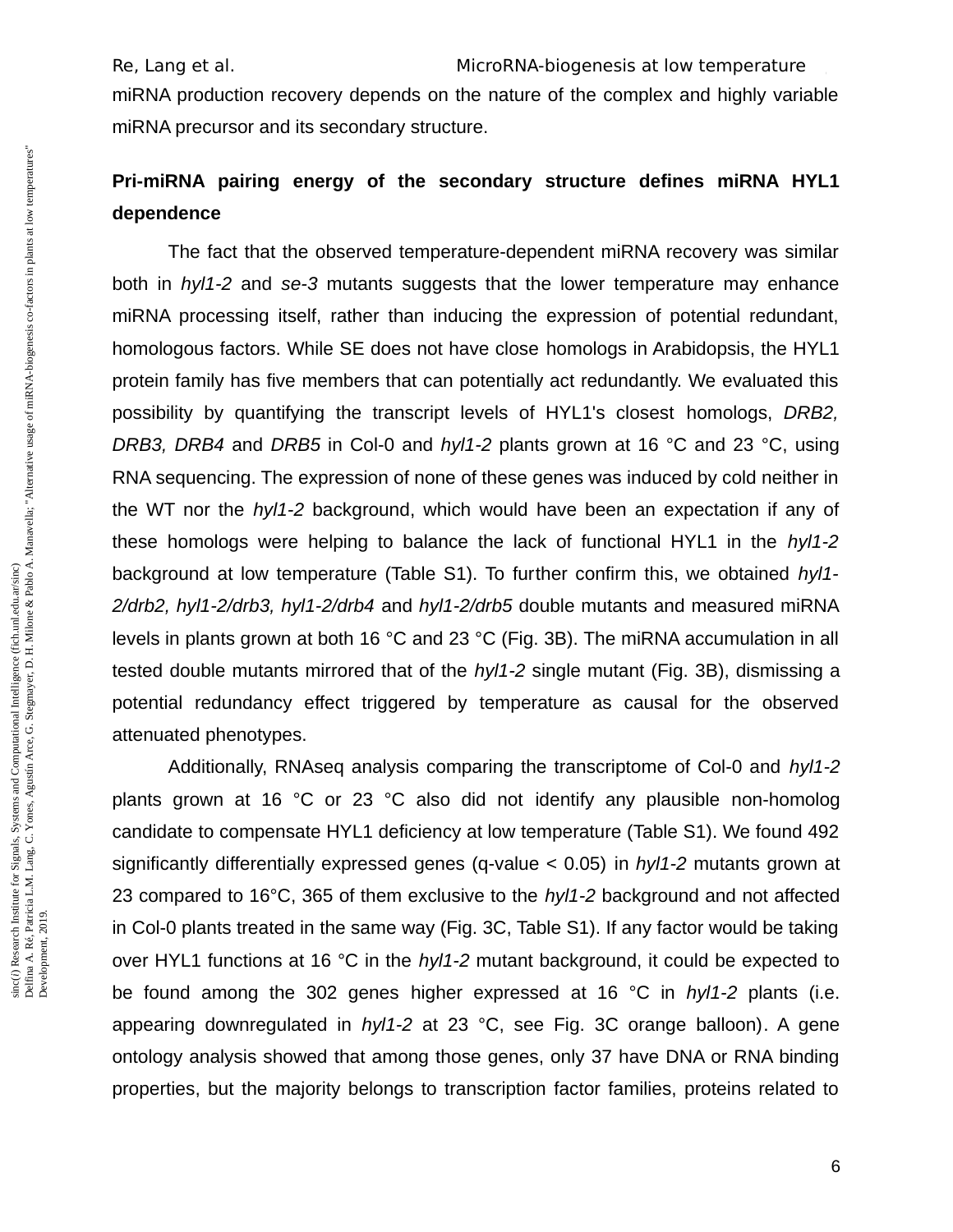miRNA production recovery depends on the nature of the complex and highly variable miRNA precursor and its secondary structure.

# **Pri-miRNA pairing energy of the secondary structure defines miRNA HYL1 dependence**

The fact that the observed temperature-dependent miRNA recovery was similar both in *hyl1-2* and *se-3* mutants suggests that the lower temperature may enhance miRNA processing itself, rather than inducing the expression of potential redundant, homologous factors. While SE does not have close homologs in Arabidopsis, the HYL1 protein family has five members that can potentially act redundantly. We evaluated this possibility by quantifying the transcript levels of HYL1's closest homologs, *DRB2, DRB3, DRB4* and *DRB5* in Col-0 and *hyl1-2* plants grown at 16 °C and 23 °C, using RNA sequencing. The expression of none of these genes was induced by cold neither in the WT nor the *hyl1-2* background, which would have been an expectation if any of these homologs were helping to balance the lack of functional HYL1 in the *hyl1-2* background at low temperature (Table S1). To further confirm this, we obtained *hyl1- 2/drb2, hyl1-2/drb3, hyl1-2/drb4* and *hyl1-2/drb5* double mutants and measured miRNA levels in plants grown at both 16 °C and 23 °C (Fig. 3B). The miRNA accumulation in all tested double mutants mirrored that of the *hyl1-2* single mutant (Fig. 3B), dismissing a potential redundancy effect triggered by temperature as causal for the observed attenuated phenotypes.

Additionally, RNAseq analysis comparing the transcriptome of Col-0 and *hyl1-2* plants grown at 16 °C or 23 °C also did not identify any plausible non-homolog candidate to compensate HYL1 deficiency at low temperature (Table S1). We found 492 significantly differentially expressed genes (q-value < 0.05) in *hyl1-2* mutants grown at 23 compared to 16°C, 365 of them exclusive to the *hyl1-2* background and not affected in Col-0 plants treated in the same way (Fig. 3C, Table S1). If any factor would be taking over HYL1 functions at 16 °C in the *hyl1-2* mutant background, it could be expected to be found among the 302 genes higher expressed at 16 °C in *hyl1-2* plants (i.e. appearing downregulated in *hyl1-2* at 23 °C, see Fig. 3C orange balloon). A gene ontology analysis showed that among those genes, only 37 have DNA or RNA binding properties, but the majority belongs to transcription factor families, proteins related to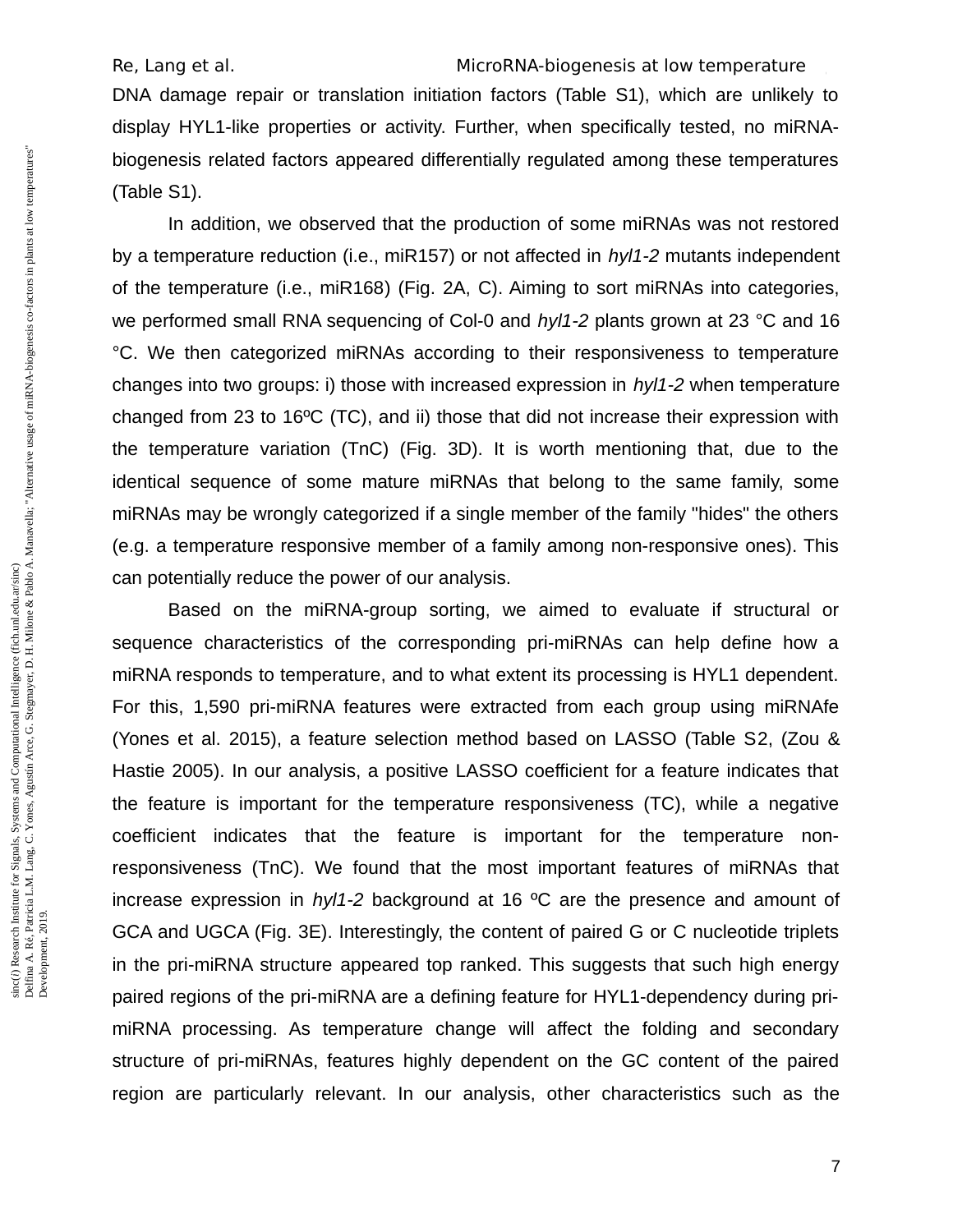DNA damage repair or translation initiation factors (Table S1), which are unlikely to display HYL1-like properties or activity. Further, when specifically tested, no miRNAbiogenesis related factors appeared differentially regulated among these temperatures (Table S1).

In addition, we observed that the production of some miRNAs was not restored by a temperature reduction (i.e., miR157) or not affected in *hyl1-2* mutants independent of the temperature (i.e., miR168) (Fig. 2A, C). Aiming to sort miRNAs into categories, we performed small RNA sequencing of Col-0 and *hyl1-2* plants grown at 23 °C and 16 °C. We then categorized miRNAs according to their responsiveness to temperature changes into two groups: i) those with increased expression in *hyl1-2* when temperature changed from 23 to 16ºC (TC), and ii) those that did not increase their expression with the temperature variation (TnC) (Fig. 3D). It is worth mentioning that, due to the identical sequence of some mature miRNAs that belong to the same family, some miRNAs may be wrongly categorized if a single member of the family "hides" the others (e.g. a temperature responsive member of a family among non-responsive ones). This can potentially reduce the power of our analysis.

Based on the miRNA-group sorting, we aimed to evaluate if structural or sequence characteristics of the corresponding pri-miRNAs can help define how a miRNA responds to temperature, and to what extent its processing is HYL1 dependent. For this, 1,590 pri-miRNA features were extracted from each group using miRNAfe (Yones et al. 2015), a feature selection method based on LASSO (Table S2, (Zou & Hastie 2005). In our analysis, a positive LASSO coefficient for a feature indicates that the feature is important for the temperature responsiveness (TC), while a negative coefficient indicates that the feature is important for the temperature nonresponsiveness (TnC). We found that the most important features of miRNAs that increase expression in *hyl1-2* background at 16 ºC are the presence and amount of GCA and UGCA (Fig. 3E). Interestingly, the content of paired G or C nucleotide triplets in the pri-miRNA structure appeared top ranked. This suggests that such high energy paired regions of the pri-miRNA are a defining feature for HYL1-dependency during primiRNA processing. As temperature change will affect the folding and secondary structure of pri-miRNAs, features highly dependent on the GC content of the paired region are particularly relevant. In our analysis, other characteristics such as the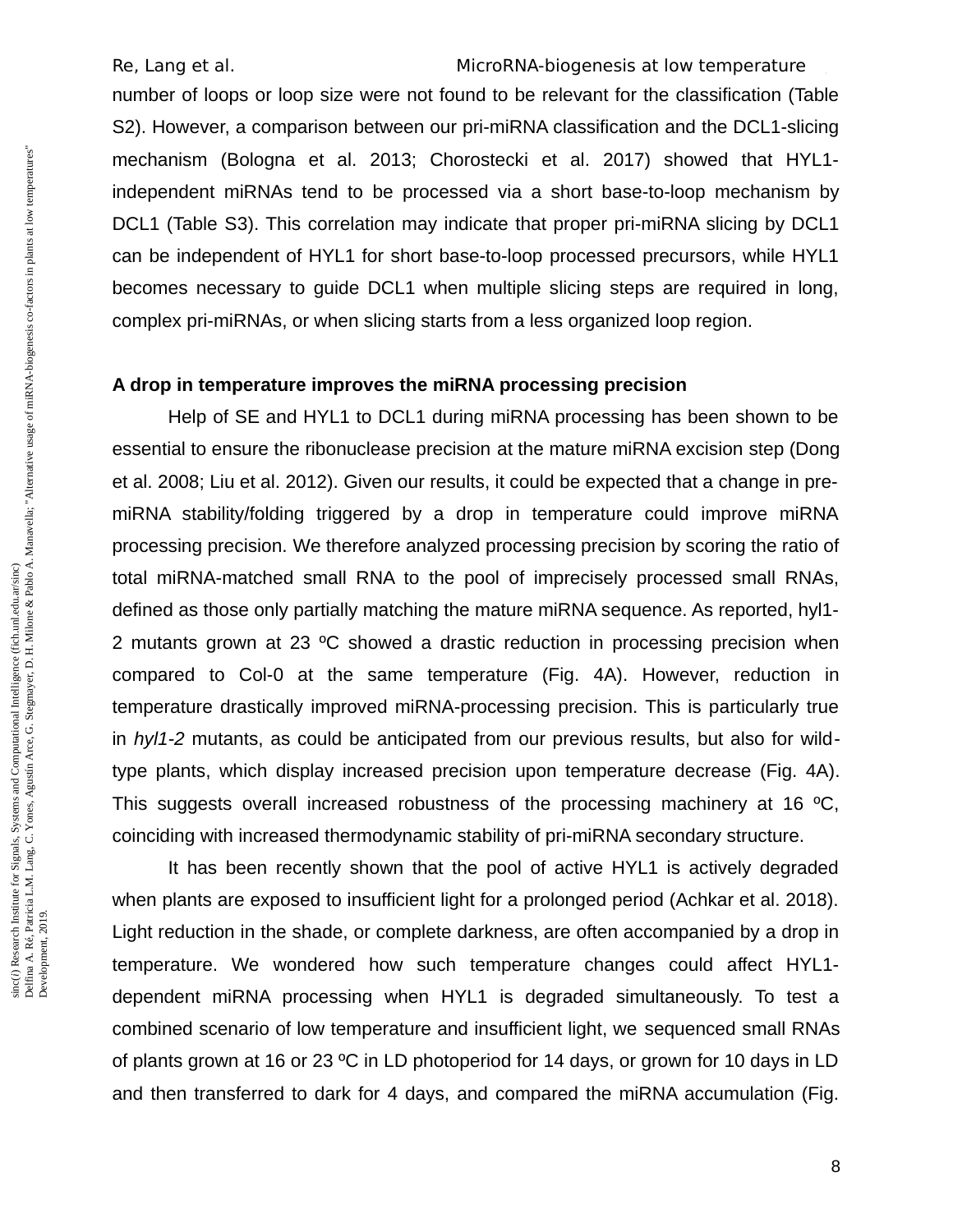number of loops or loop size were not found to be relevant for the classification (Table S2). However, a comparison between our pri-miRNA classification and the DCL1-slicing mechanism (Bologna et al. 2013; Chorostecki et al. 2017) showed that HYL1 independent miRNAs tend to be processed via a short base-to-loop mechanism by DCL1 (Table S3). This correlation may indicate that proper pri-miRNA slicing by DCL1 can be independent of HYL1 for short base-to-loop processed precursors, while HYL1 becomes necessary to guide DCL1 when multiple slicing steps are required in long, complex pri-miRNAs, or when slicing starts from a less organized loop region.

### **A drop in temperature improves the miRNA processing precision**

Help of SE and HYL1 to DCL1 during miRNA processing has been shown to be essential to ensure the ribonuclease precision at the mature miRNA excision step (Dong et al. 2008; Liu et al. 2012). Given our results, it could be expected that a change in premiRNA stability/folding triggered by a drop in temperature could improve miRNA processing precision. We therefore analyzed processing precision by scoring the ratio of total miRNA-matched small RNA to the pool of imprecisely processed small RNAs, defined as those only partially matching the mature miRNA sequence. As reported, hyl1- 2 mutants grown at 23 ºC showed a drastic reduction in processing precision when compared to Col-0 at the same temperature (Fig. 4A). However, reduction in temperature drastically improved miRNA-processing precision. This is particularly true in *hyl1-2* mutants, as could be anticipated from our previous results, but also for wildtype plants, which display increased precision upon temperature decrease (Fig. 4A). This suggests overall increased robustness of the processing machinery at 16  $^{\circ}$ C. coinciding with increased thermodynamic stability of pri-miRNA secondary structure.

It has been recently shown that the pool of active HYL1 is actively degraded when plants are exposed to insufficient light for a prolonged period (Achkar et al. 2018). Light reduction in the shade, or complete darkness, are often accompanied by a drop in temperature. We wondered how such temperature changes could affect HYL1 dependent miRNA processing when HYL1 is degraded simultaneously. To test a combined scenario of low temperature and insufficient light, we sequenced small RNAs of plants grown at 16 or 23 ºC in LD photoperiod for 14 days, or grown for 10 days in LD and then transferred to dark for 4 days, and compared the miRNA accumulation (Fig.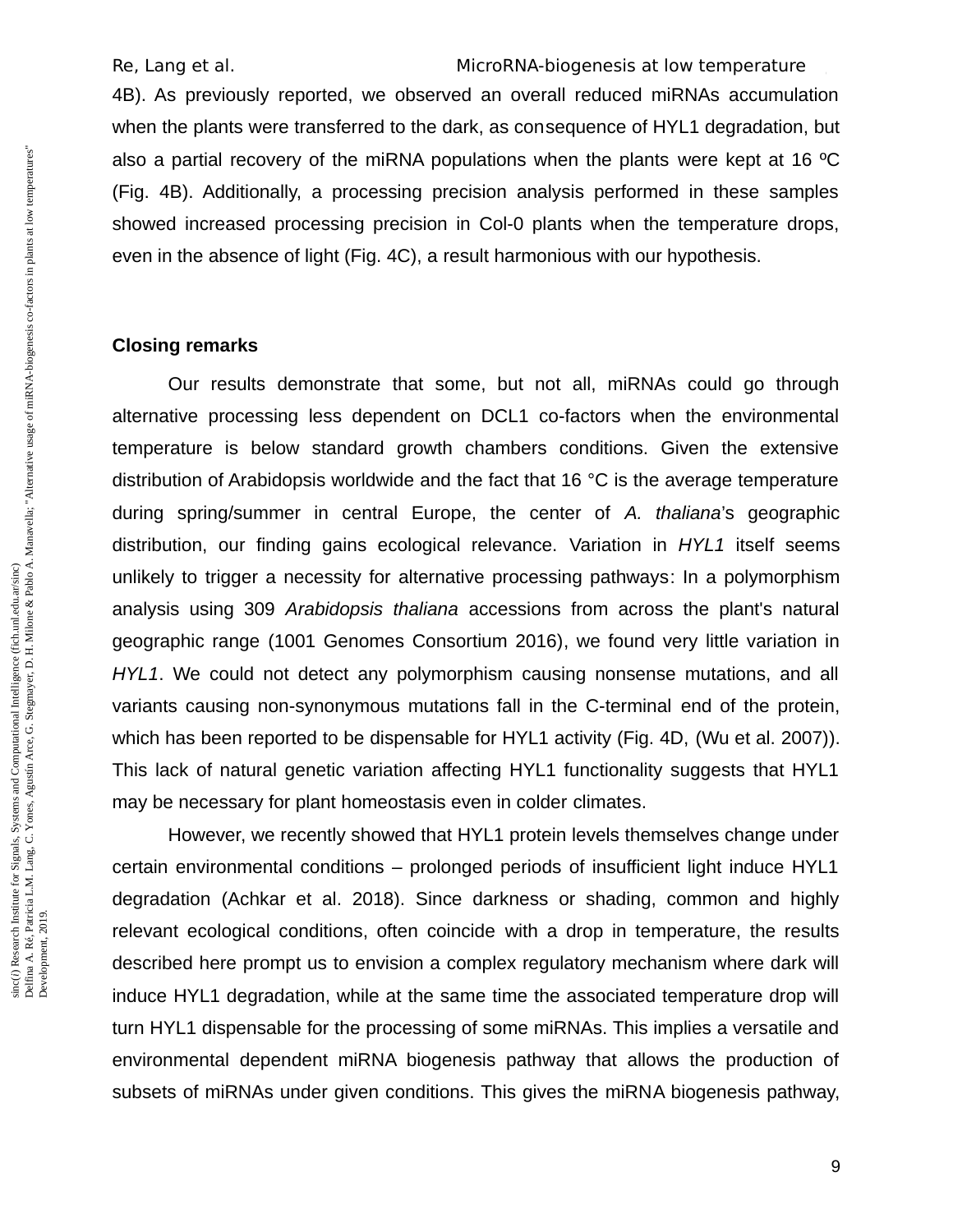4B). As previously reported, we observed an overall reduced miRNAs accumulation when the plants were transferred to the dark, as consequence of HYL1 degradation, but also a partial recovery of the miRNA populations when the plants were kept at 16 ºC (Fig. 4B). Additionally, a processing precision analysis performed in these samples showed increased processing precision in Col-0 plants when the temperature drops, even in the absence of light (Fig. 4C), a result harmonious with our hypothesis.

### **Closing remarks**

Our results demonstrate that some, but not all, miRNAs could go through alternative processing less dependent on DCL1 co-factors when the environmental temperature is below standard growth chambers conditions. Given the extensive distribution of Arabidopsis worldwide and the fact that 16 °C is the average temperature during spring/summer in central Europe, the center of *A. thaliana*'s geographic distribution, our finding gains ecological relevance. Variation in *HYL1* itself seems unlikely to trigger a necessity for alternative processing pathways: In a polymorphism analysis using 309 *Arabidopsis thaliana* accessions from across the plant's natural geographic range (1001 Genomes Consortium 2016), we found very little variation in *HYL1*. We could not detect any polymorphism causing nonsense mutations, and all variants causing non-synonymous mutations fall in the C-terminal end of the protein, which has been reported to be dispensable for HYL1 activity (Fig. 4D, (Wu et al. 2007)). This lack of natural genetic variation affecting HYL1 functionality suggests that HYL1 may be necessary for plant homeostasis even in colder climates.

However, we recently showed that HYL1 protein levels themselves change under certain environmental conditions – prolonged periods of insufficient light induce HYL1 degradation (Achkar et al. 2018). Since darkness or shading, common and highly relevant ecological conditions, often coincide with a drop in temperature, the results described here prompt us to envision a complex regulatory mechanism where dark will induce HYL1 degradation, while at the same time the associated temperature drop will turn HYL1 dispensable for the processing of some miRNAs. This implies a versatile and environmental dependent miRNA biogenesis pathway that allows the production of subsets of miRNAs under given conditions. This gives the miRNA biogenesis pathway,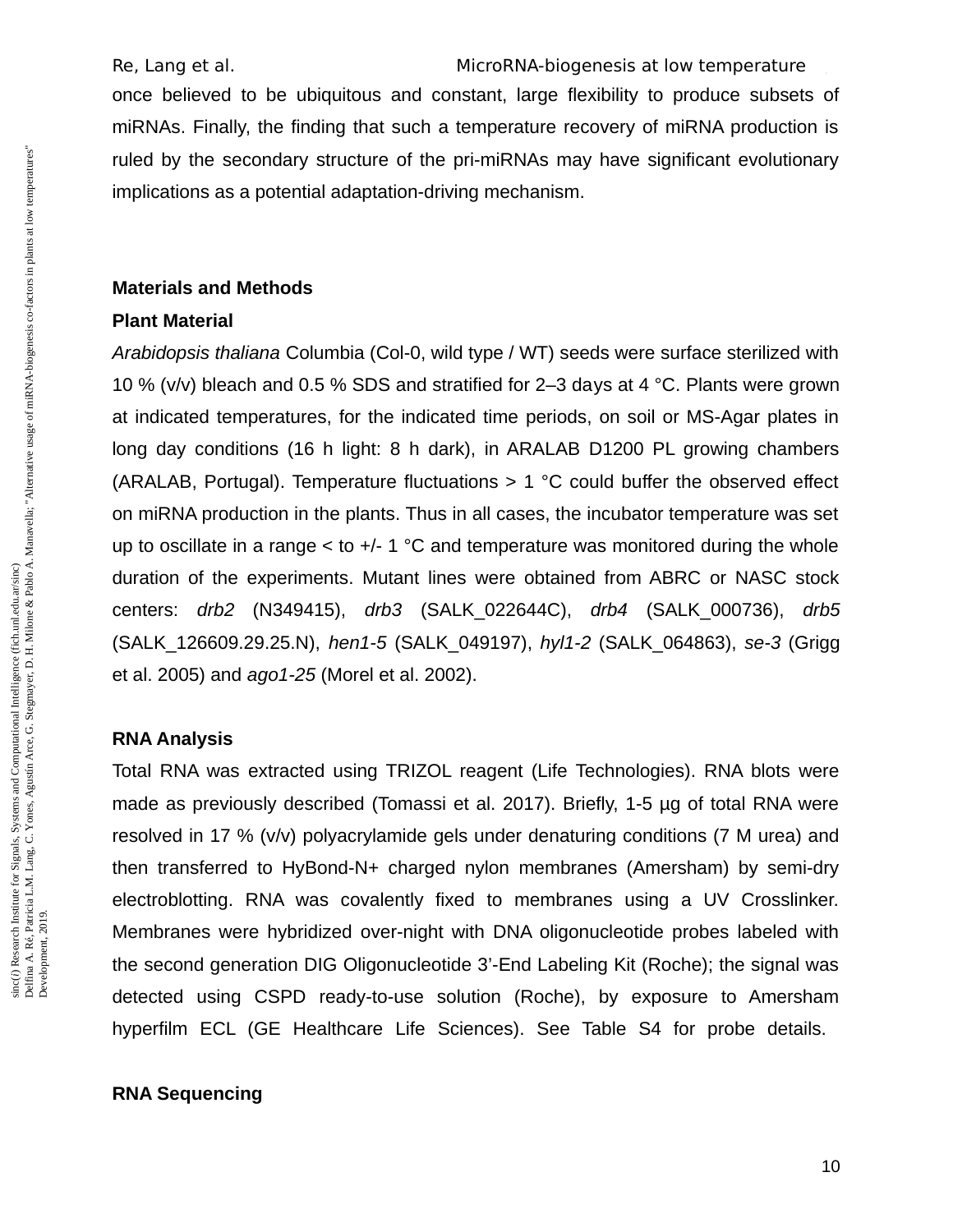once believed to be ubiquitous and constant, large flexibility to produce subsets of miRNAs. Finally, the finding that such a temperature recovery of miRNA production is ruled by the secondary structure of the pri-miRNAs may have significant evolutionary implications as a potential adaptation-driving mechanism.

# **Materials and Methods**

## **Plant Material**

*Arabidopsis thaliana* Columbia (Col-0, wild type / WT) seeds were surface sterilized with 10 % (v/v) bleach and 0.5 % SDS and stratified for 2–3 days at 4 °C. Plants were grown at indicated temperatures, for the indicated time periods, on soil or MS-Agar plates in long day conditions (16 h light: 8 h dark), in ARALAB D1200 PL growing chambers (ARALAB, Portugal). Temperature fluctuations  $> 1$  °C could buffer the observed effect on miRNA production in the plants. Thus in all cases, the incubator temperature was set up to oscillate in a range  $\leq$  to  $+/-1$  °C and temperature was monitored during the whole duration of the experiments. Mutant lines were obtained from ABRC or NASC stock centers: *drb2* (N349415), *drb3* (SALK\_022644C), *drb4* (SALK\_000736), *drb5* (SALK\_126609.29.25.N), *hen1-5* (SALK\_049197), *hyl1-2* (SALK\_064863), *se-3* (Grigg et al. 2005) and *ago1-25* (Morel et al. 2002).

## **RNA Analysis**

Total RNA was extracted using TRIZOL reagent (Life Technologies). RNA blots were made as previously described (Tomassi et al. 2017). Briefly, 1-5 µg of total RNA were resolved in 17 % (v/v) polyacrylamide gels under denaturing conditions (7 M urea) and then transferred to HyBond-N+ charged nylon membranes (Amersham) by semi-dry electroblotting. RNA was covalently fixed to membranes using a UV Crosslinker. Membranes were hybridized over-night with DNA oligonucleotide probes labeled with the second generation DIG Oligonucleotide 3'-End Labeling Kit (Roche); the signal was detected using CSPD ready-to-use solution (Roche), by exposure to Amersham hyperfilm ECL (GE Healthcare Life Sciences). See Table S4 for probe details.

## **RNA Sequencing**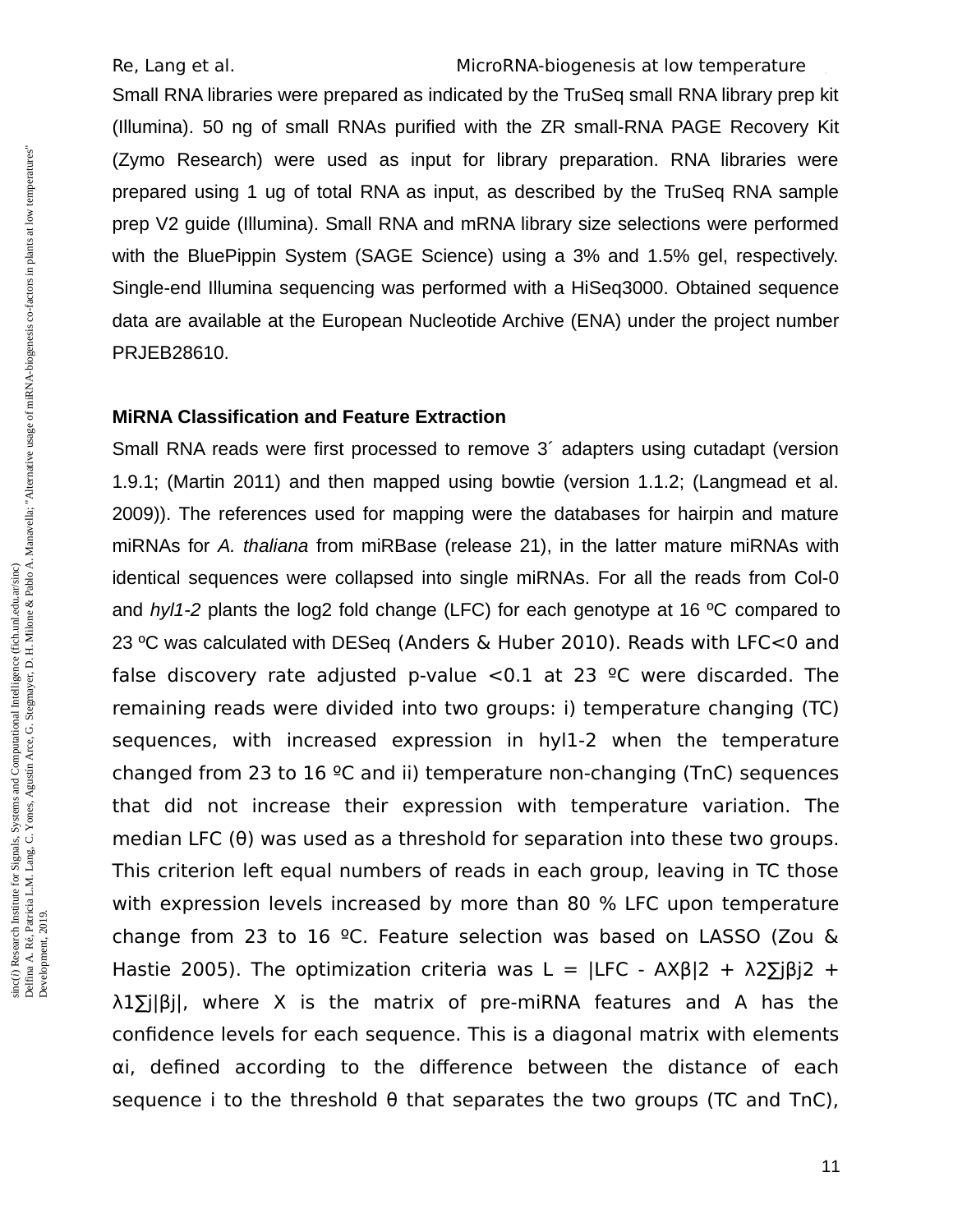Small RNA libraries were prepared as indicated by the TruSeq small RNA library prep kit (Illumina). 50 ng of small RNAs purified with the ZR small-RNA PAGE Recovery Kit (Zymo Research) were used as input for library preparation. RNA libraries were prepared using 1 ug of total RNA as input, as described by the TruSeq RNA sample prep V2 guide (Illumina). Small RNA and mRNA library size selections were performed with the BluePippin System (SAGE Science) using a 3% and 1.5% gel, respectively. Single-end Illumina sequencing was performed with a HiSeq3000. Obtained sequence data are available at the European Nucleotide Archive (ENA) under the project number PRJEB28610.

### **MiRNA Classification and Feature Extraction**

Small RNA reads were first processed to remove 3´ adapters using cutadapt (version 1.9.1; (Martin 2011) and then mapped using bowtie (version 1.1.2; (Langmead et al. 2009)). The references used for mapping were the databases for hairpin and mature miRNAs for *A. thaliana* from miRBase (release 21), in the latter mature miRNAs with identical sequences were collapsed into single miRNAs. For all the reads from Col-0 and *hyl1-2* plants the log2 fold change (LFC) for each genotype at 16 ºC compared to 23 ºC was calculated with DESeq (Anders & Huber 2010). Reads with LFC<0 and false discovery rate adjusted p-value  $< 0.1$  at 23 <sup>o</sup>C were discarded. The remaining reads were divided into two groups: i) temperature changing (TC) sequences, with increased expression in hyl1-2 when the temperature changed from 23 to 16 ºC and ii) temperature non-changing (TnC) sequences that did not increase their expression with temperature variation. The median LFC (θ) was used as a threshold for separation into these two groups. This criterion left equal numbers of reads in each group, leaving in TC those with expression levels increased by more than 80 % LFC upon temperature change from 23 to 16 ºC. Feature selection was based on LASSO (Zou & Hastie 2005). The optimization criteria was L =  $|LFC - AXB|2 + \lambda 2\overline{\Sigma}|B|2 +$ λ1∑j|βj|, where X is the matrix of pre-miRNA features and A has the confidence levels for each sequence. This is a diagonal matrix with elements αi, defined according to the difference between the distance of each sequence i to the threshold  $\theta$  that separates the two groups (TC and TnC),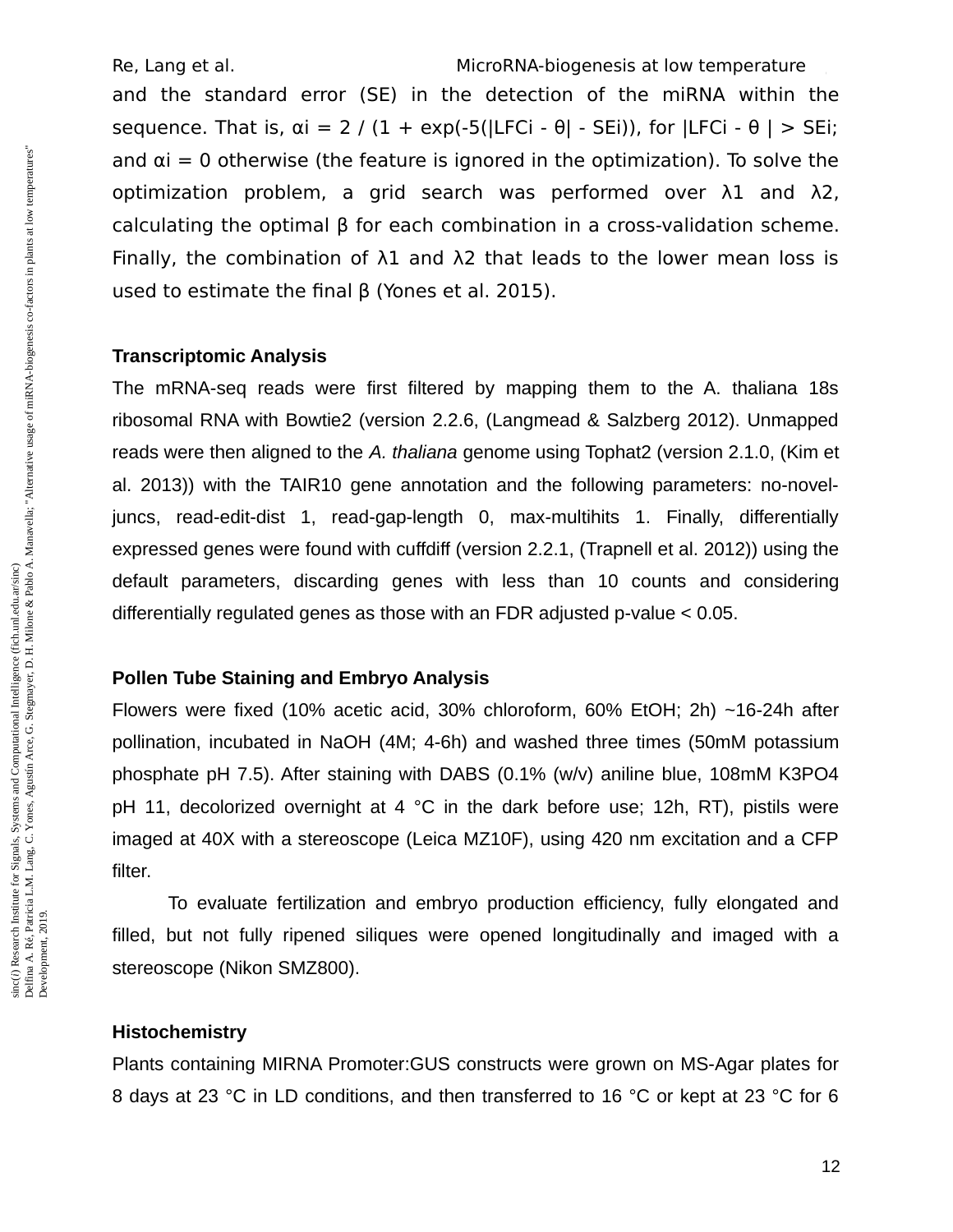and the standard error (SE) in the detection of the miRNA within the sequence. That is,  $\alpha i = 2 / (1 + \exp(-5(|LFCi - \theta| - SEi)))$ , for  $|LFCi - \theta| > SEi$ ; and  $\alpha i = 0$  otherwise (the feature is ignored in the optimization). To solve the optimization problem, a grid search was performed over λ1 and λ2, calculating the optimal β for each combination in a cross-validation scheme. Finally, the combination of  $λ1$  and  $λ2$  that leads to the lower mean loss is used to estimate the final β (Yones et al. 2015).

## **Transcriptomic Analysis**

The mRNA-seq reads were first filtered by mapping them to the A. thaliana 18s ribosomal RNA with Bowtie2 (version 2.2.6, (Langmead & Salzberg 2012). Unmapped reads were then aligned to the *A. thaliana* genome using Tophat2 (version 2.1.0, (Kim et al. 2013)) with the TAIR10 gene annotation and the following parameters: no-noveljuncs, read-edit-dist 1, read-gap-length 0, max-multihits 1. Finally, differentially expressed genes were found with cuffdiff (version 2.2.1, (Trapnell et al. 2012)) using the default parameters, discarding genes with less than 10 counts and considering differentially regulated genes as those with an FDR adjusted p-value < 0.05.

### **Pollen Tube Staining and Embryo Analysis**

Flowers were fixed (10% acetic acid, 30% chloroform, 60% EtOH; 2h) ~16-24h after pollination, incubated in NaOH (4M; 4-6h) and washed three times (50mM potassium phosphate pH 7.5). After staining with DABS (0.1% (w/v) aniline blue, 108mM K3PO4 pH 11, decolorized overnight at 4 °C in the dark before use; 12h, RT), pistils were imaged at 40X with a stereoscope (Leica MZ10F), using 420 nm excitation and a CFP filter.

To evaluate fertilization and embryo production efficiency, fully elongated and filled, but not fully ripened siliques were opened longitudinally and imaged with a stereoscope (Nikon SMZ800).

#### **Histochemistry**

Plants containing MIRNA Promoter:GUS constructs were grown on MS-Agar plates for 8 days at 23 °C in LD conditions, and then transferred to 16 °C or kept at 23 °C for 6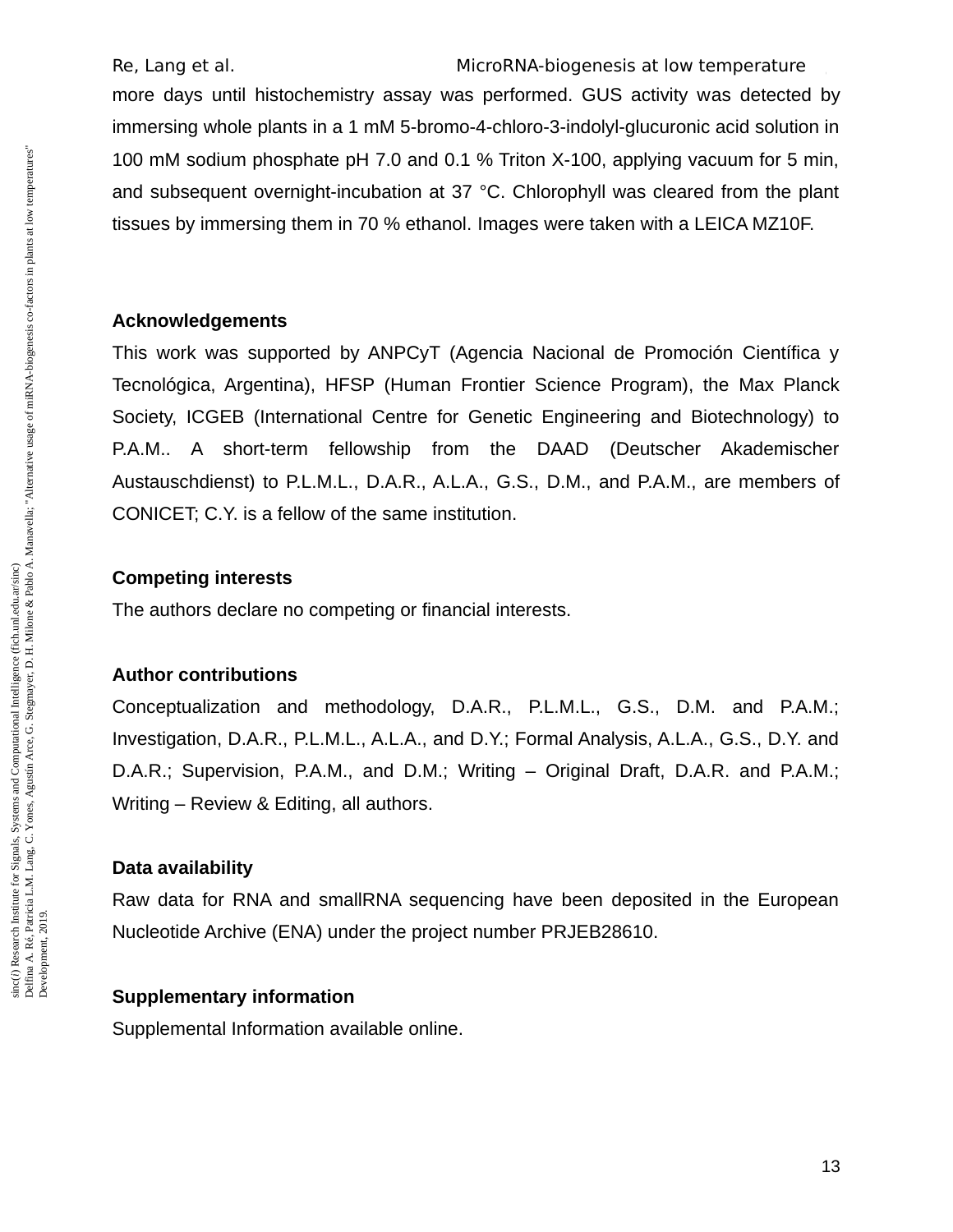Re, Lang et al. The MicroRNA-biogenesis at low temperature more days until histochemistry assay was performed. GUS activity was detected by immersing whole plants in a 1 mM 5-bromo-4-chloro-3-indolyl-glucuronic acid solution in 100 mM sodium phosphate pH 7.0 and 0.1 % Triton X-100, applying vacuum for 5 min, and subsequent overnight-incubation at 37 °C. Chlorophyll was cleared from the plant

tissues by immersing them in 70 % ethanol. Images were taken with a LEICA MZ10F.

### **Acknowledgements**

This work was supported by ANPCyT (Agencia Nacional de Promoción Científica y Tecnológica, Argentina), HFSP (Human Frontier Science Program), the Max Planck Society, ICGEB (International Centre for Genetic Engineering and Biotechnology) to P.A.M.. A short-term fellowship from the DAAD (Deutscher Akademischer Austauschdienst) to P.L.M.L., D.A.R., A.L.A., G.S., D.M., and P.A.M., are members of CONICET; C.Y. is a fellow of the same institution.

### **Competing interests**

The authors declare no competing or financial interests.

#### **Author contributions**

Conceptualization and methodology, D.A.R., P.L.M.L., G.S., D.M. and P.A.M.; Investigation, D.A.R., P.L.M.L., A.L.A., and D.Y.; Formal Analysis, A.L.A., G.S., D.Y. and D.A.R.; Supervision, P.A.M., and D.M.; Writing – Original Draft, D.A.R. and P.A.M.; Writing – Review & Editing, all authors.

### **Data availability**

Raw data for RNA and smallRNA sequencing have been deposited in the European Nucleotide Archive (ENA) under the project number PRJEB28610.

## **Supplementary information**

Supplemental Information available online.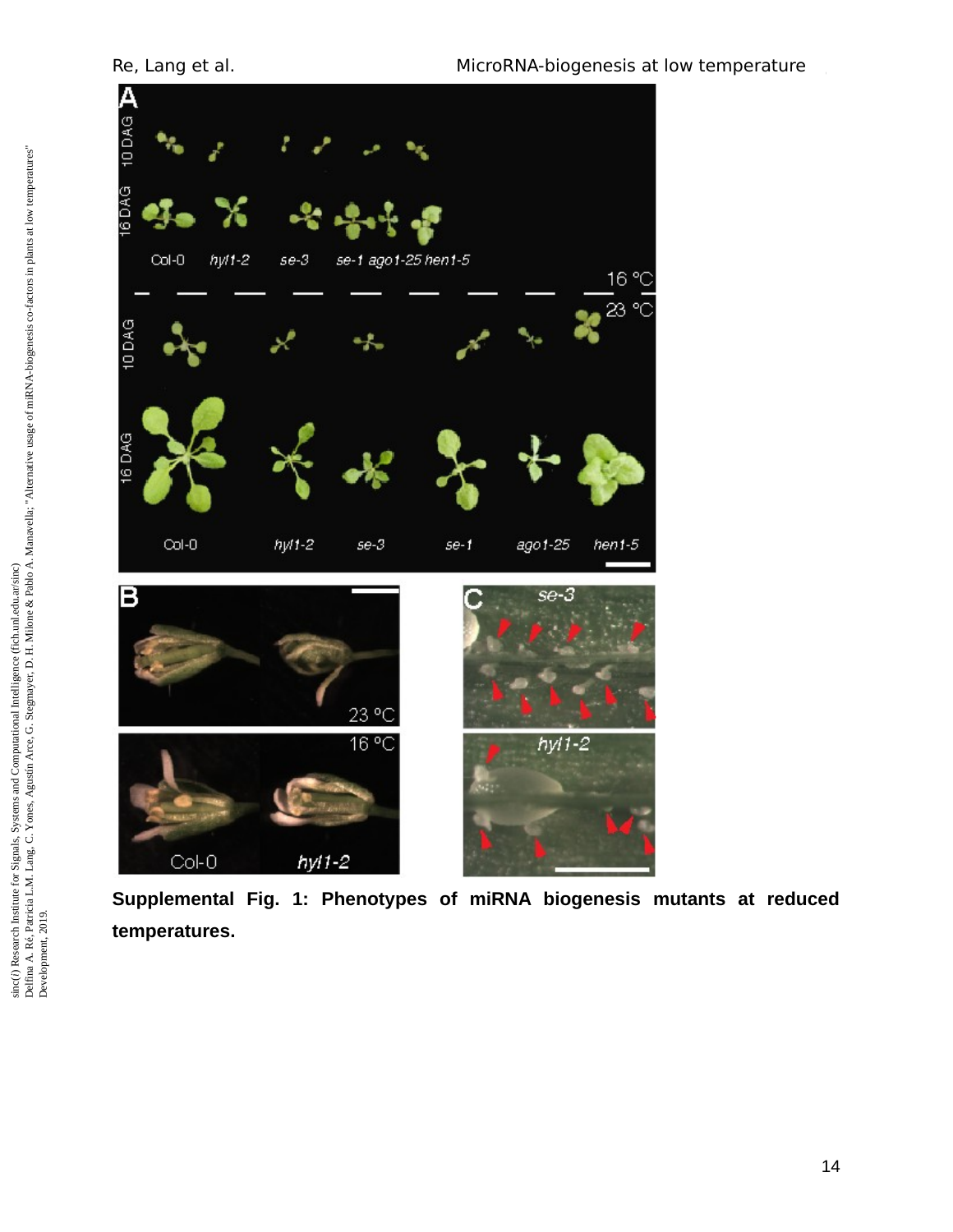

**Supplemental Fig. 1: Phenotypes of miRNA biogenesis mutants at reduced temperatures.**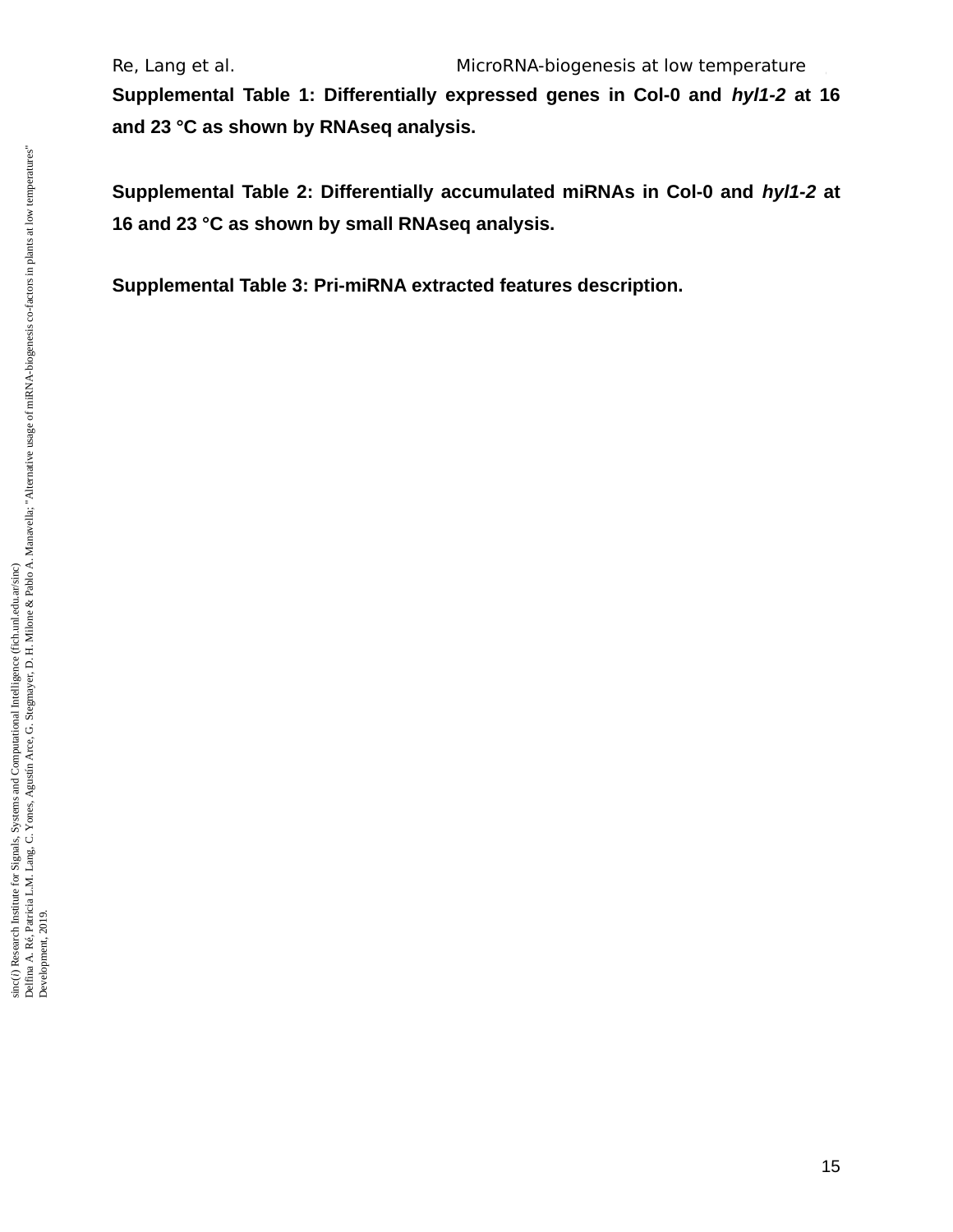**Supplemental Table 1: Differentially expressed genes in Col-0 and** *hyl1-2* **at 16 and 23 °C as shown by RNAseq analysis.**

**Supplemental Table 2: Differentially accumulated miRNAs in Col-0 and** *hyl1-2* **at 16 and 23 °C as shown by small RNAseq analysis.**

**Supplemental Table 3: Pri-miRNA extracted features description.**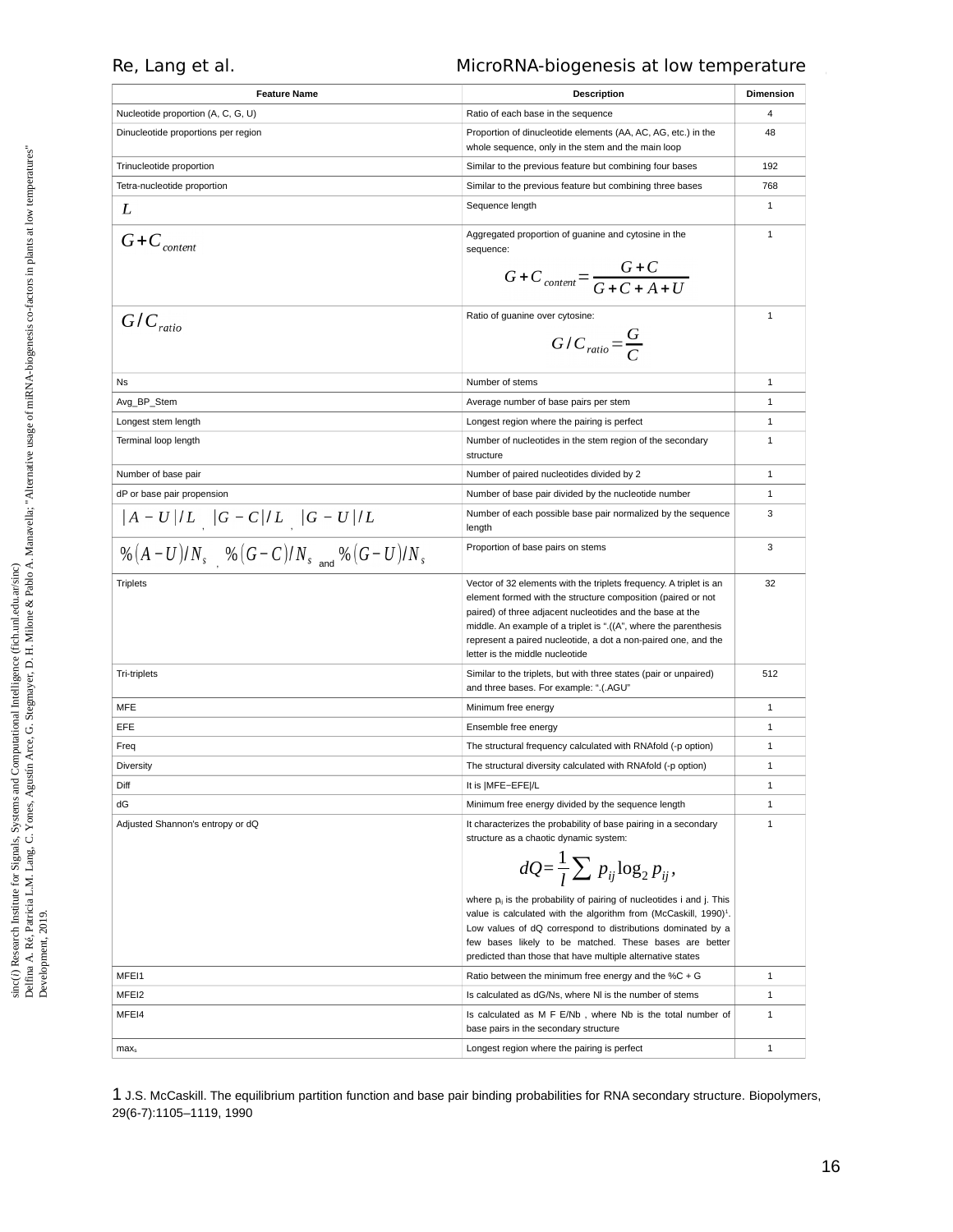| <b>Feature Name</b>                             | <b>Description</b>                                                                                                                                                                                                                                                                                                                                                       | <b>Dimension</b> |
|-------------------------------------------------|--------------------------------------------------------------------------------------------------------------------------------------------------------------------------------------------------------------------------------------------------------------------------------------------------------------------------------------------------------------------------|------------------|
| Nucleotide proportion (A, C, G, U)              | Ratio of each base in the sequence                                                                                                                                                                                                                                                                                                                                       | 4                |
| Dinucleotide proportions per region             | Proportion of dinucleotide elements (AA, AC, AG, etc.) in the<br>whole sequence, only in the stem and the main loop                                                                                                                                                                                                                                                      | 48               |
| Trinucleotide proportion                        | Similar to the previous feature but combining four bases                                                                                                                                                                                                                                                                                                                 | 192              |
| Tetra-nucleotide proportion                     | Similar to the previous feature but combining three bases                                                                                                                                                                                                                                                                                                                | 768              |
| L                                               | Sequence length                                                                                                                                                                                                                                                                                                                                                          | $\mathbf{1}$     |
| $G+C_{content}$                                 | Aggregated proportion of guanine and cytosine in the<br>sequence:<br>$G+C_{content} = \frac{G+C}{G+C+A+II}$                                                                                                                                                                                                                                                              | $\mathbf{1}$     |
| $G/C_{ratio}$                                   | Ratio of guanine over cytosine:<br>$G/C_{ratio} = \frac{G}{C}$                                                                                                                                                                                                                                                                                                           | 1                |
| Ns                                              | Number of stems                                                                                                                                                                                                                                                                                                                                                          | 1                |
| Avg_BP_Stem                                     | Average number of base pairs per stem                                                                                                                                                                                                                                                                                                                                    | 1                |
| Longest stem length                             | Longest region where the pairing is perfect                                                                                                                                                                                                                                                                                                                              | 1                |
| Terminal loop length                            | Number of nucleotides in the stem region of the secondary<br>structure                                                                                                                                                                                                                                                                                                   | 1                |
| Number of base pair                             | Number of paired nucleotides divided by 2                                                                                                                                                                                                                                                                                                                                | 1                |
| dP or base pair propension                      | Number of base pair divided by the nucleotide number                                                                                                                                                                                                                                                                                                                     | 1                |
| $ A-U /L$ $ G-C /L$ $ G-U /L$                   | Number of each possible base pair normalized by the sequence<br>length                                                                                                                                                                                                                                                                                                   | 3                |
| $\% (A-U)/N_s$ % $(G-C)/N_s$ and $\% (G-U)/N_s$ | Proportion of base pairs on stems                                                                                                                                                                                                                                                                                                                                        | 3                |
| <b>Triplets</b>                                 | Vector of 32 elements with the triplets frequency. A triplet is an<br>element formed with the structure composition (paired or not<br>paired) of three adjacent nucleotides and the base at the<br>middle. An example of a triplet is ".((A", where the parenthesis<br>represent a paired nucleotide, a dot a non-paired one, and the<br>letter is the middle nucleotide | 32               |
| <b>Tri-triplets</b>                             | Similar to the triplets, but with three states (pair or unpaired)<br>and three bases. For example: ".(.AGU"                                                                                                                                                                                                                                                              | 512              |
| MFE                                             | Minimum free energy                                                                                                                                                                                                                                                                                                                                                      | $\mathbf{1}$     |
| EFE                                             | Ensemble free energy                                                                                                                                                                                                                                                                                                                                                     | $\mathbf{1}$     |
| Freq                                            | The structural frequency calculated with RNAfold (-p option)                                                                                                                                                                                                                                                                                                             | 1                |
| <b>Diversity</b>                                | The structural diversity calculated with RNAfold (-p option)                                                                                                                                                                                                                                                                                                             | 1                |
| Diff                                            | It is  MFE-EFE /L                                                                                                                                                                                                                                                                                                                                                        | 1                |
| dG                                              | Minimum free energy divided by the sequence length                                                                                                                                                                                                                                                                                                                       | $\mathbf{1}$     |
| Adjusted Shannon's entropy or dQ                | It characterizes the probability of base pairing in a secondary<br>structure as a chaotic dynamic system:<br>$dQ = \frac{1}{l} \sum p_{ij} \log_2 p_{ij}$ ,                                                                                                                                                                                                              | 1                |
|                                                 | where $p_{ii}$ is the probability of pairing of nucleotides i and j. This<br>value is calculated with the algorithm from (McCaskill, $1990$ ) <sup>1</sup> .<br>Low values of dQ correspond to distributions dominated by a<br>few bases likely to be matched. These bases are better<br>predicted than those that have multiple alternative states                      |                  |
| MFEI1                                           | Ratio between the minimum free energy and the $%C + G$                                                                                                                                                                                                                                                                                                                   | 1                |
| MFEI2                                           | Is calculated as dG/Ns, where NI is the number of stems                                                                                                                                                                                                                                                                                                                  | 1                |
| MFEI4                                           | Is calculated as M F E/Nb, where Nb is the total number of<br>base pairs in the secondary structure                                                                                                                                                                                                                                                                      | 1                |
| max <sub>s</sub>                                | Longest region where the pairing is perfect                                                                                                                                                                                                                                                                                                                              | 1                |

<span id="page-15-0"></span>1 J.S. McCaskill. The equilibrium partition function and base pair binding probabilities for RNA secondary structure. Biopolymers, 29(6-7):1105–1119, 1990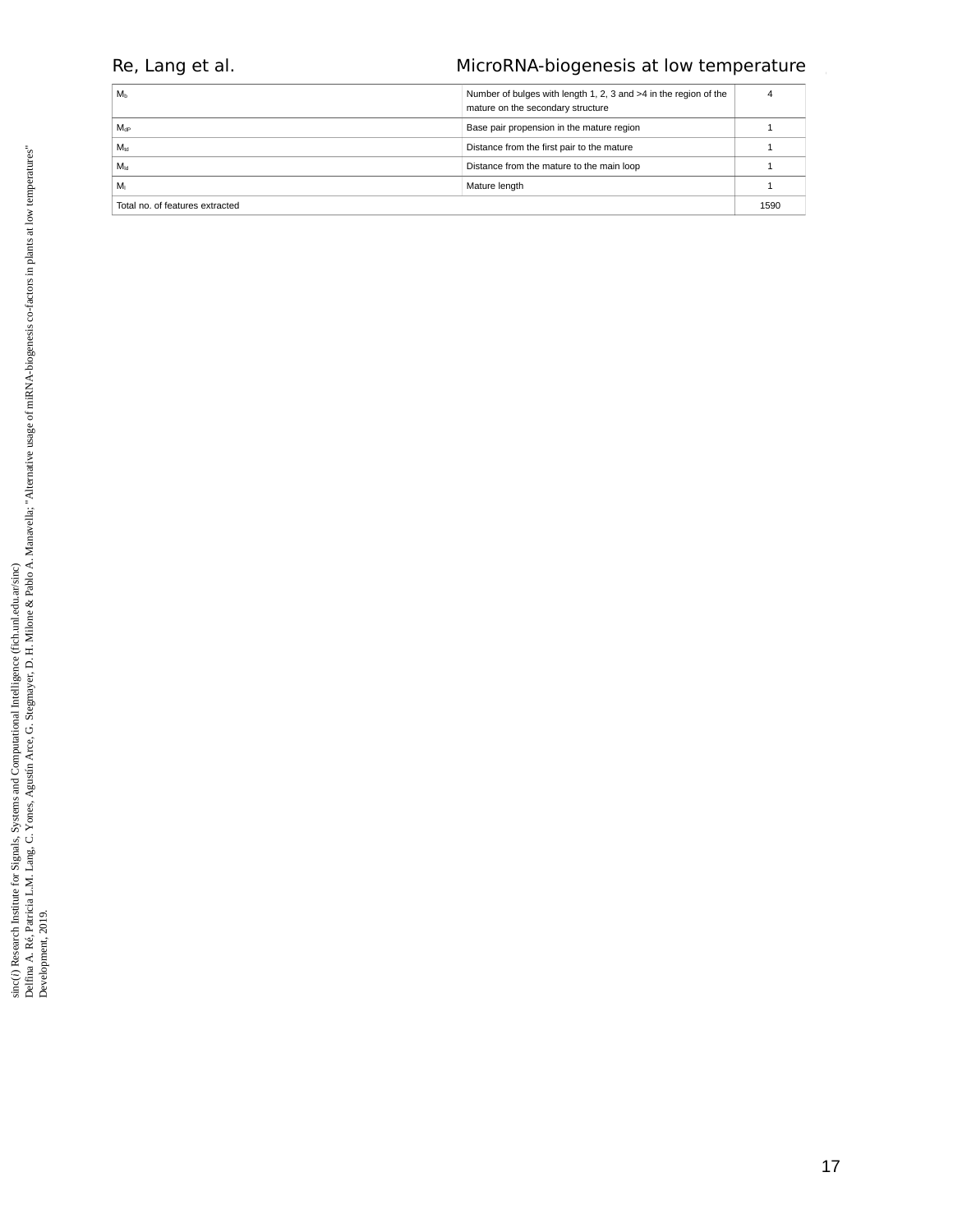| M <sub>b</sub>                  | Number of bulges with length 1, 2, 3 and >4 in the region of the<br>mature on the secondary structure |      |
|---------------------------------|-------------------------------------------------------------------------------------------------------|------|
| $M_{\rm dP}$                    | Base pair propension in the mature region                                                             |      |
| $M_{td}$                        | Distance from the first pair to the mature                                                            |      |
| $M_{\text{ld}}$                 | Distance from the mature to the main loop                                                             |      |
| Mı                              | Mature length                                                                                         |      |
| Total no. of features extracted |                                                                                                       | 1590 |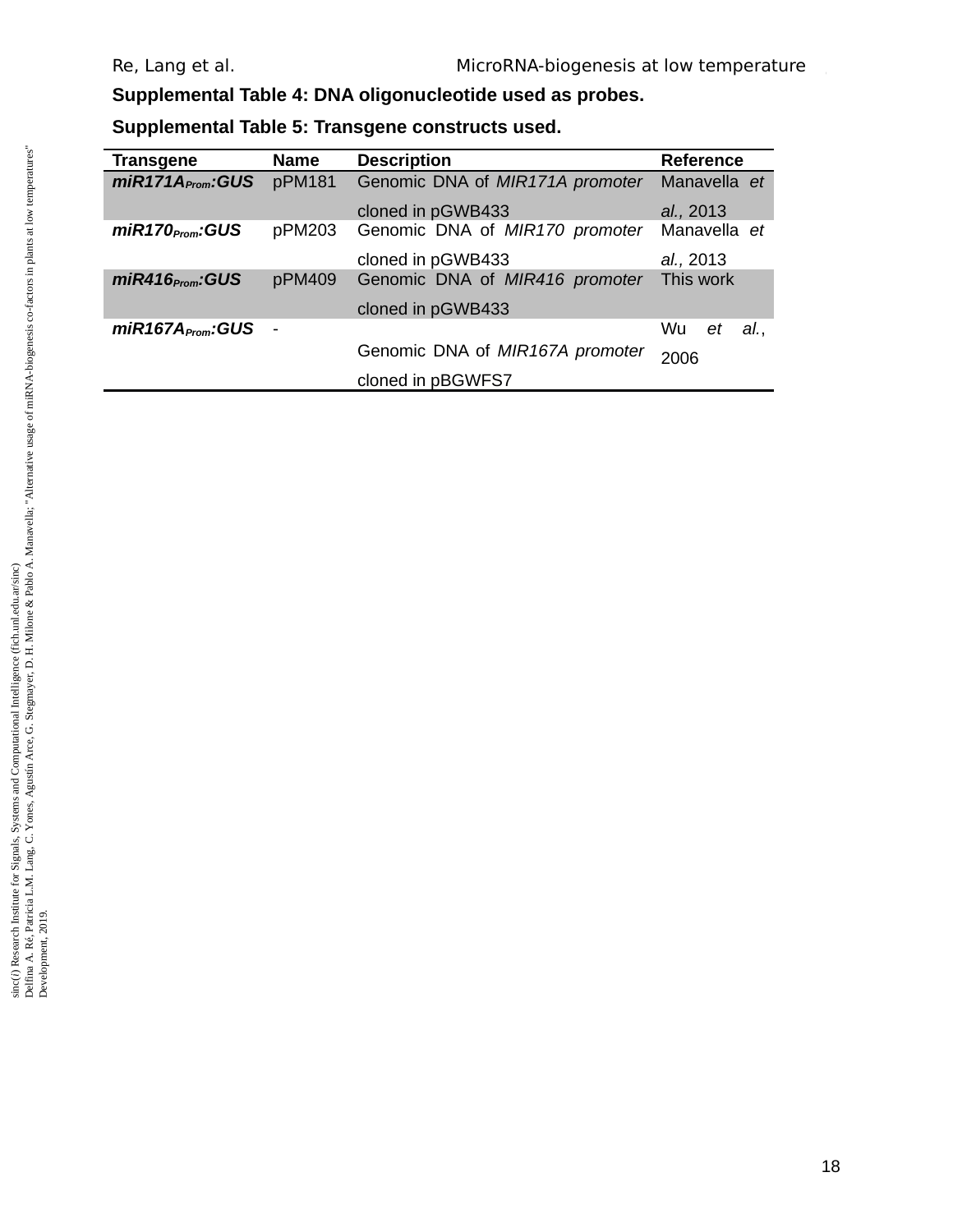**Supplemental Table 4: DNA oligonucleotide used as probes.**

**Supplemental Table 5: Transgene constructs used.**

| <b>Transgene</b>             | <b>Name</b> | <b>Description</b>              | Reference        |
|------------------------------|-------------|---------------------------------|------------------|
| $miR171A_{\text{Prom}}:GUS$  | pPM181      | Genomic DNA of MIR171A promoter | Manavella et     |
|                              |             | cloned in pGWB433               | al., 2013        |
| $miR170_{\text{Prom}}$ :GUS  | pPM203      | Genomic DNA of MIR170 promoter  | Manavella et     |
|                              |             | cloned in pGWB433               | al., 2013        |
| $miR416_{\text{Prom}}$ : GUS | pPM409      | Genomic DNA of MIR416 promoter  | This work        |
|                              |             | cloned in pGWB433               |                  |
| miR167A <sub>From</sub> :GUS |             |                                 | Wu.<br>al.<br>et |
|                              |             | Genomic DNA of MIR167A promoter | 2006             |
|                              |             | cloned in pBGWFS7               |                  |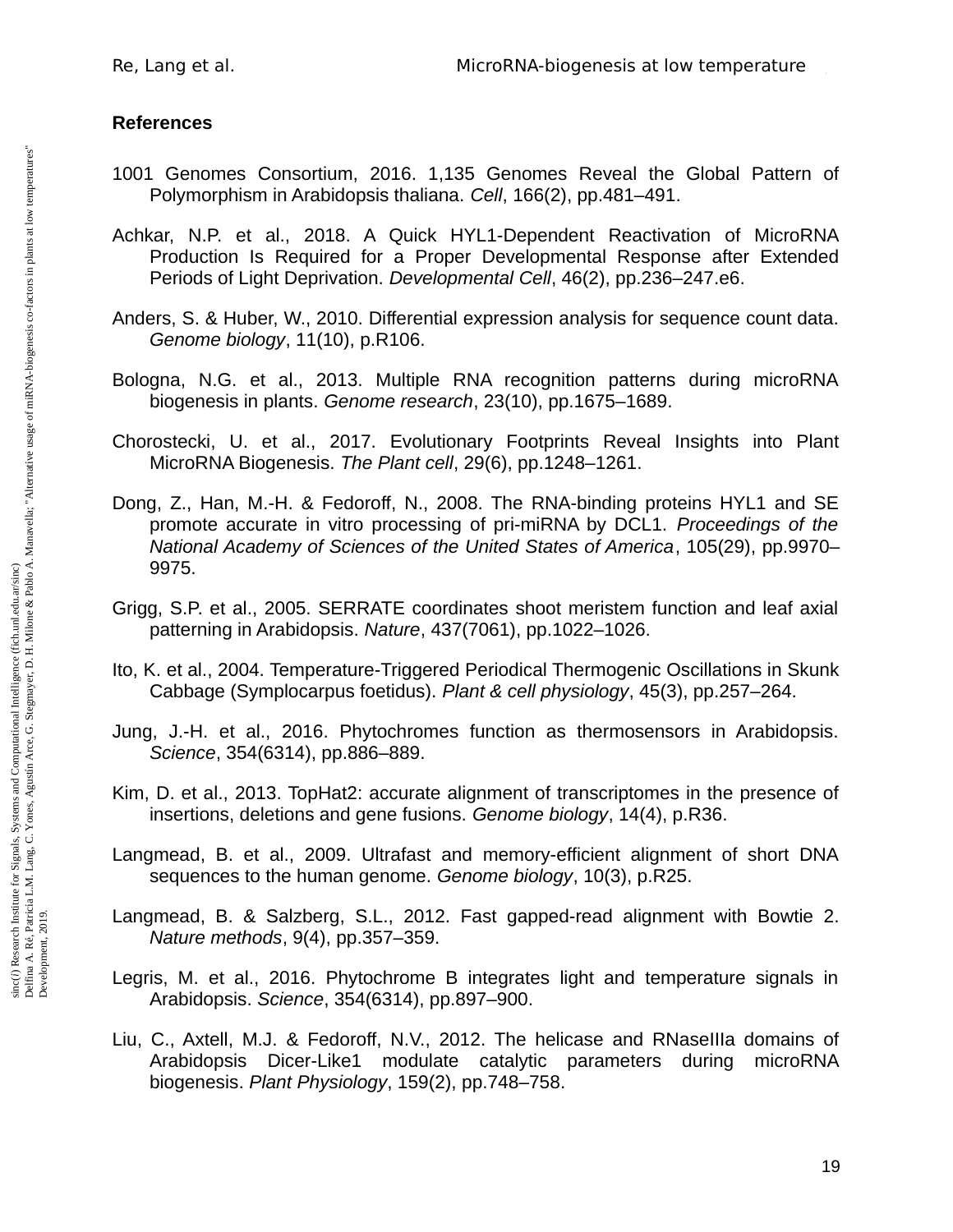# **References**

- 1001 Genomes Consortium, 2016. 1,135 Genomes Reveal the Global Pattern of Polymorphism in Arabidopsis thaliana. *Cell*, 166(2), pp.481–491.
- Achkar, N.P. et al., 2018. A Quick HYL1-Dependent Reactivation of MicroRNA Production Is Required for a Proper Developmental Response after Extended Periods of Light Deprivation. *Developmental Cell*, 46(2), pp.236–247.e6.
- Anders, S. & Huber, W., 2010. Differential expression analysis for sequence count data. *Genome biology*, 11(10), p.R106.
- Bologna, N.G. et al., 2013. Multiple RNA recognition patterns during microRNA biogenesis in plants. *Genome research*, 23(10), pp.1675–1689.
- Chorostecki, U. et al., 2017. Evolutionary Footprints Reveal Insights into Plant MicroRNA Biogenesis. *The Plant cell*, 29(6), pp.1248–1261.
- Dong, Z., Han, M.-H. & Fedoroff, N., 2008. The RNA-binding proteins HYL1 and SE promote accurate in vitro processing of pri-miRNA by DCL1. *Proceedings of the National Academy of Sciences of the United States of America*, 105(29), pp.9970– 9975.
- Grigg, S.P. et al., 2005. SERRATE coordinates shoot meristem function and leaf axial patterning in Arabidopsis. *Nature*, 437(7061), pp.1022–1026.
- Ito, K. et al., 2004. Temperature-Triggered Periodical Thermogenic Oscillations in Skunk Cabbage (Symplocarpus foetidus). *Plant & cell physiology*, 45(3), pp.257–264.
- Jung, J.-H. et al., 2016. Phytochromes function as thermosensors in Arabidopsis. *Science*, 354(6314), pp.886–889.
- Kim, D. et al., 2013. TopHat2: accurate alignment of transcriptomes in the presence of insertions, deletions and gene fusions. *Genome biology*, 14(4), p.R36.
- Langmead, B. et al., 2009. Ultrafast and memory-efficient alignment of short DNA sequences to the human genome. *Genome biology*, 10(3), p.R25.
- Langmead, B. & Salzberg, S.L., 2012. Fast gapped-read alignment with Bowtie 2. *Nature methods*, 9(4), pp.357–359.
- Legris, M. et al., 2016. Phytochrome B integrates light and temperature signals in Arabidopsis. *Science*, 354(6314), pp.897–900.
- Liu, C., Axtell, M.J. & Fedoroff, N.V., 2012. The helicase and RNaseIIIa domains of Arabidopsis Dicer-Like1 modulate catalytic parameters during microRNA biogenesis. *Plant Physiology*, 159(2), pp.748–758.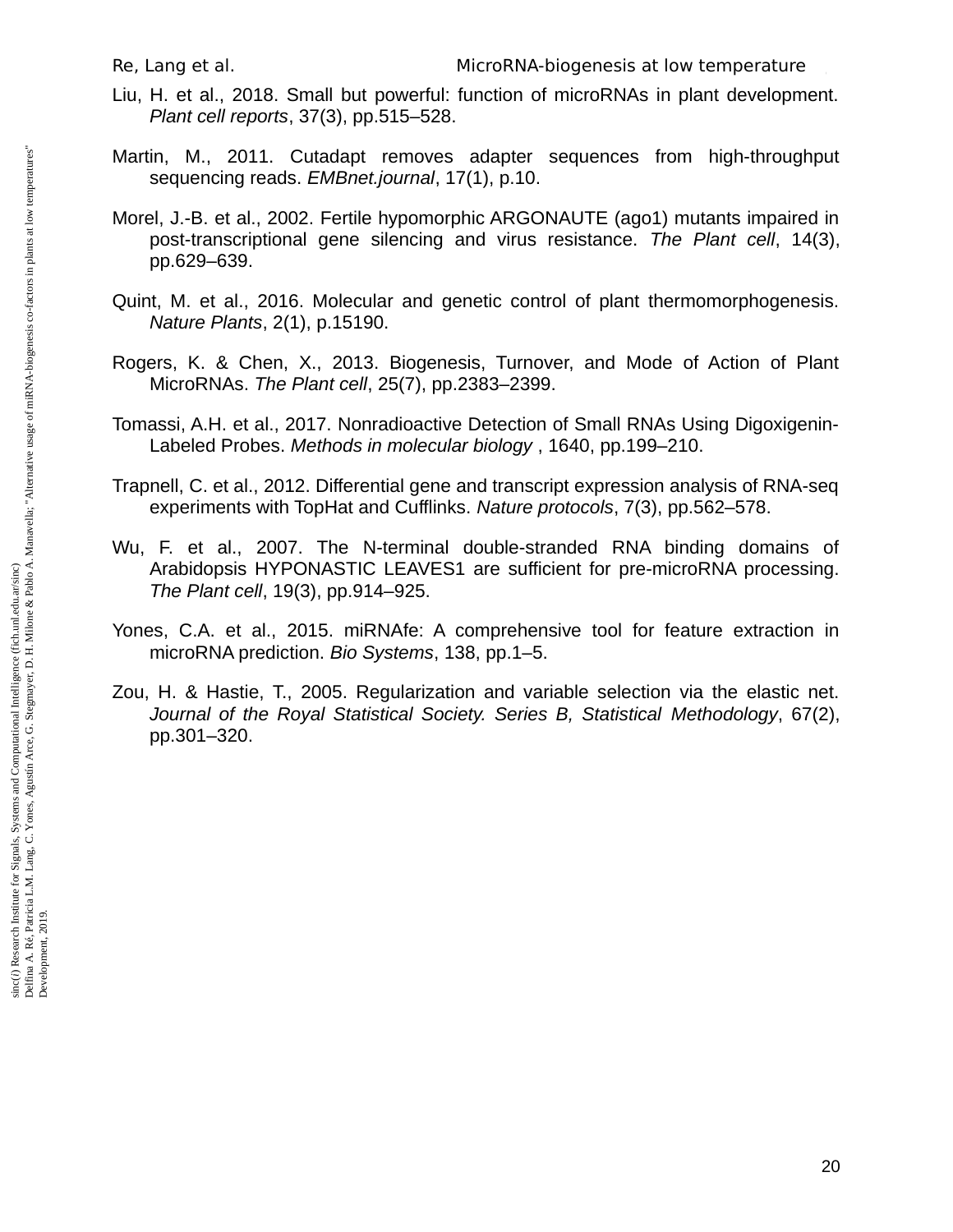- Liu, H. et al., 2018. Small but powerful: function of microRNAs in plant development. *Plant cell reports*, 37(3), pp.515–528.
- Martin, M., 2011. Cutadapt removes adapter sequences from high-throughput sequencing reads. *EMBnet.journal*, 17(1), p.10.
- Morel, J.-B. et al., 2002. Fertile hypomorphic ARGONAUTE (ago1) mutants impaired in post-transcriptional gene silencing and virus resistance. *The Plant cell*, 14(3), pp.629–639.
- Quint, M. et al., 2016. Molecular and genetic control of plant thermomorphogenesis. *Nature Plants*, 2(1), p.15190.
- Rogers, K. & Chen, X., 2013. Biogenesis, Turnover, and Mode of Action of Plant MicroRNAs. *The Plant cell*, 25(7), pp.2383–2399.
- Tomassi, A.H. et al., 2017. Nonradioactive Detection of Small RNAs Using Digoxigenin-Labeled Probes. *Methods in molecular biology* , 1640, pp.199–210.
- Trapnell, C. et al., 2012. Differential gene and transcript expression analysis of RNA-seq experiments with TopHat and Cufflinks. *Nature protocols*, 7(3), pp.562–578.
- Wu, F. et al., 2007. The N-terminal double-stranded RNA binding domains of Arabidopsis HYPONASTIC LEAVES1 are sufficient for pre-microRNA processing. *The Plant cell*, 19(3), pp.914–925.
- Yones, C.A. et al., 2015. miRNAfe: A comprehensive tool for feature extraction in microRNA prediction. *Bio Systems*, 138, pp.1–5.
- Zou, H. & Hastie, T., 2005. Regularization and variable selection via the elastic net. *Journal of the Royal Statistical Society. Series B, Statistical Methodology*, 67(2), pp.301–320.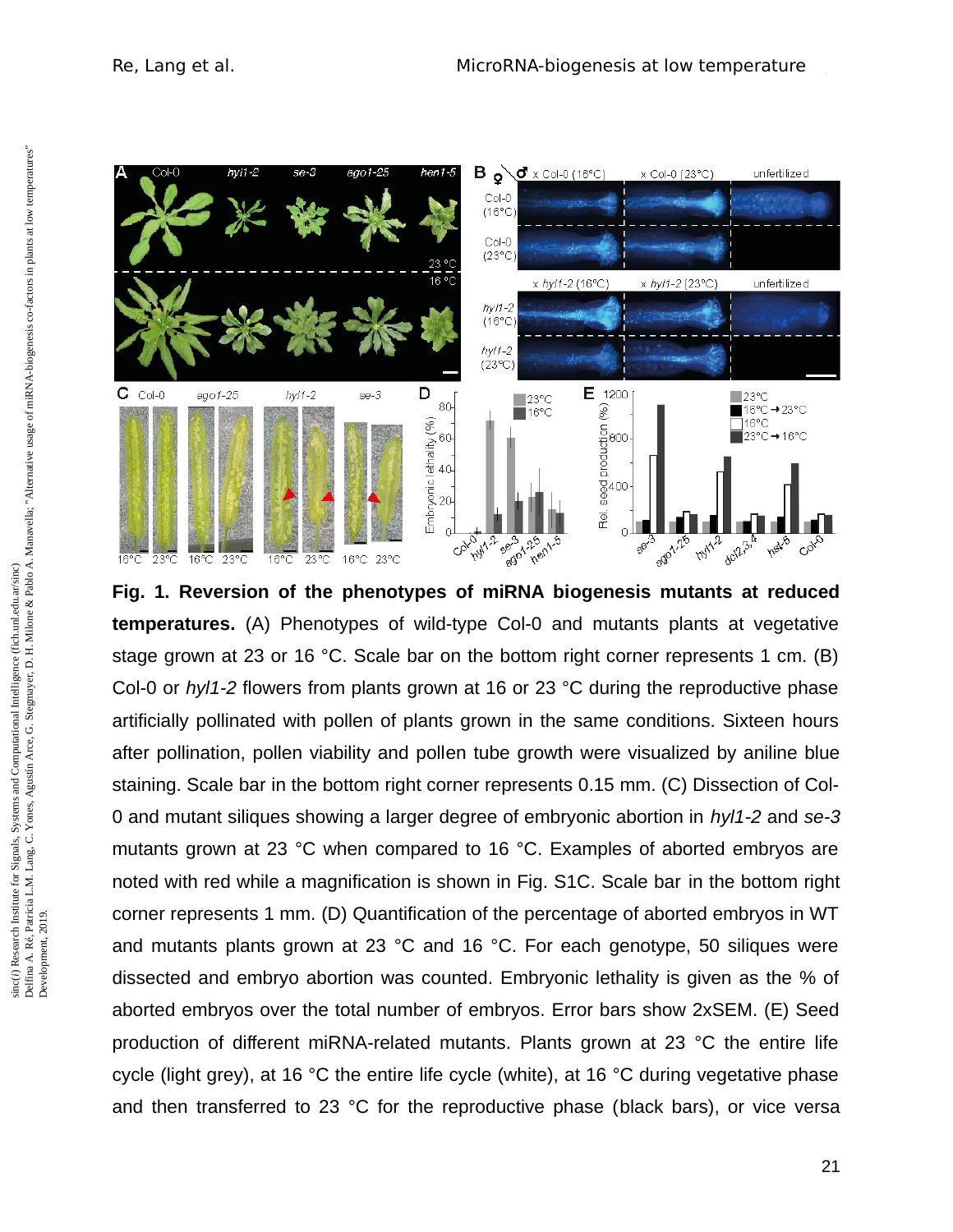

**Fig. 1. Reversion of the phenotypes of miRNA biogenesis mutants at reduced temperatures.** (A) Phenotypes of wild-type Col-0 and mutants plants at vegetative stage grown at 23 or 16 °C. Scale bar on the bottom right corner represents 1 cm. (B) Col-0 or *hyl1-2* flowers from plants grown at 16 or 23 °C during the reproductive phase artificially pollinated with pollen of plants grown in the same conditions. Sixteen hours after pollination, pollen viability and pollen tube growth were visualized by aniline blue staining. Scale bar in the bottom right corner represents 0.15 mm. (C) Dissection of Col-0 and mutant siliques showing a larger degree of embryonic abortion in *hyl1-2* and *se-3* mutants grown at 23 °C when compared to 16 °C. Examples of aborted embryos are noted with red while a magnification is shown in Fig. S1C. Scale bar in the bottom right corner represents 1 mm. (D) Quantification of the percentage of aborted embryos in WT and mutants plants grown at 23 °C and 16 °C. For each genotype, 50 siliques were dissected and embryo abortion was counted. Embryonic lethality is given as the % of aborted embryos over the total number of embryos. Error bars show 2xSEM. (E) Seed production of different miRNA-related mutants. Plants grown at 23 °C the entire life cycle (light grey), at 16 °C the entire life cycle (white), at 16 °C during vegetative phase and then transferred to 23 °C for the reproductive phase (black bars), or vice versa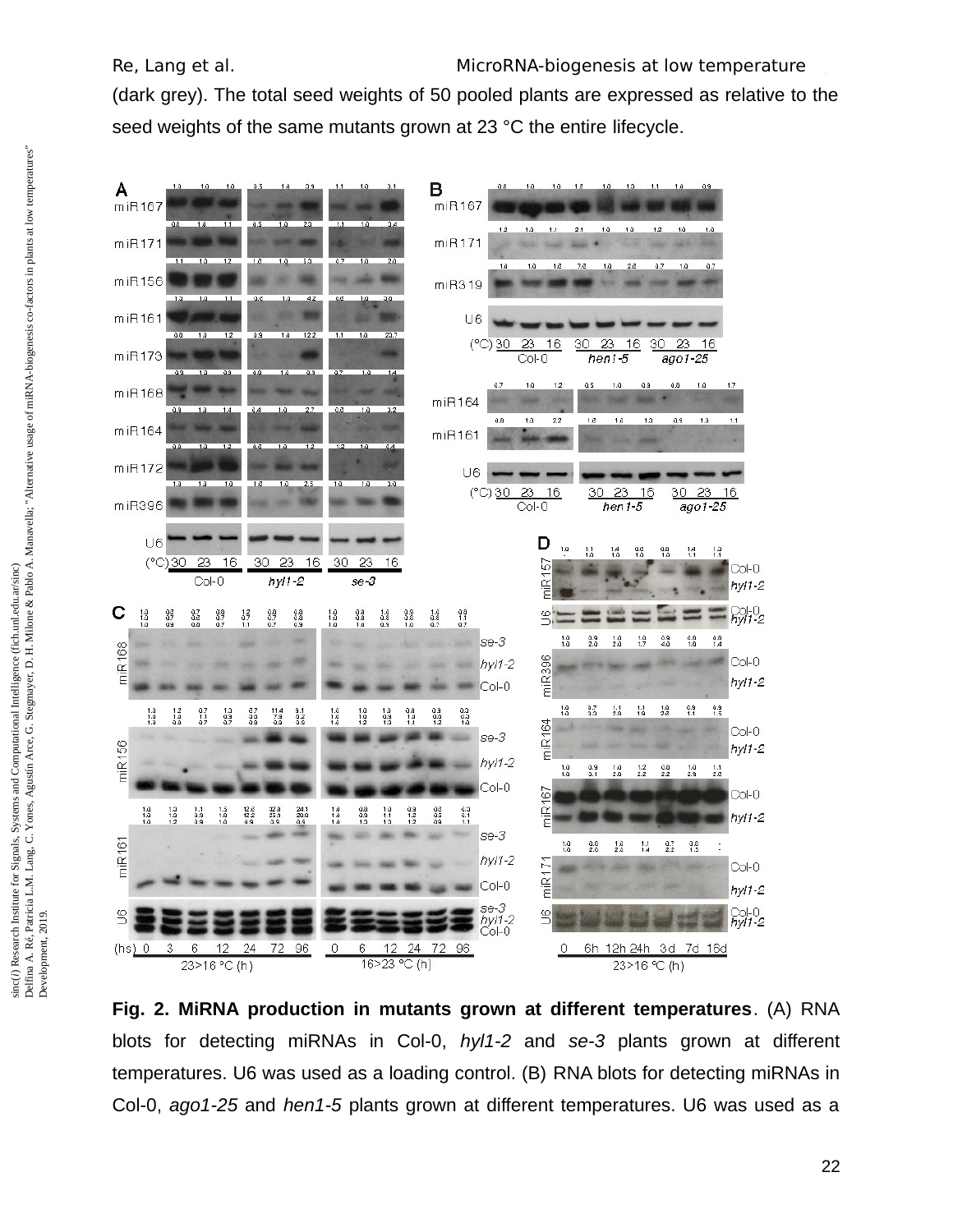(dark grey). The total seed weights of 50 pooled plants are expressed as relative to the seed weights of the same mutants grown at 23 °C the entire lifecycle.



**Fig. 2. MiRNA production in mutants grown at different temperatures**. (A) RNA blots for detecting miRNAs in Col-0, *hyl1-2* and *se-3* plants grown at different temperatures. U6 was used as a loading control. (B) RNA blots for detecting miRNAs in Col-0, *ago1-25* and *hen1-5* plants grown at different temperatures. U6 was used as a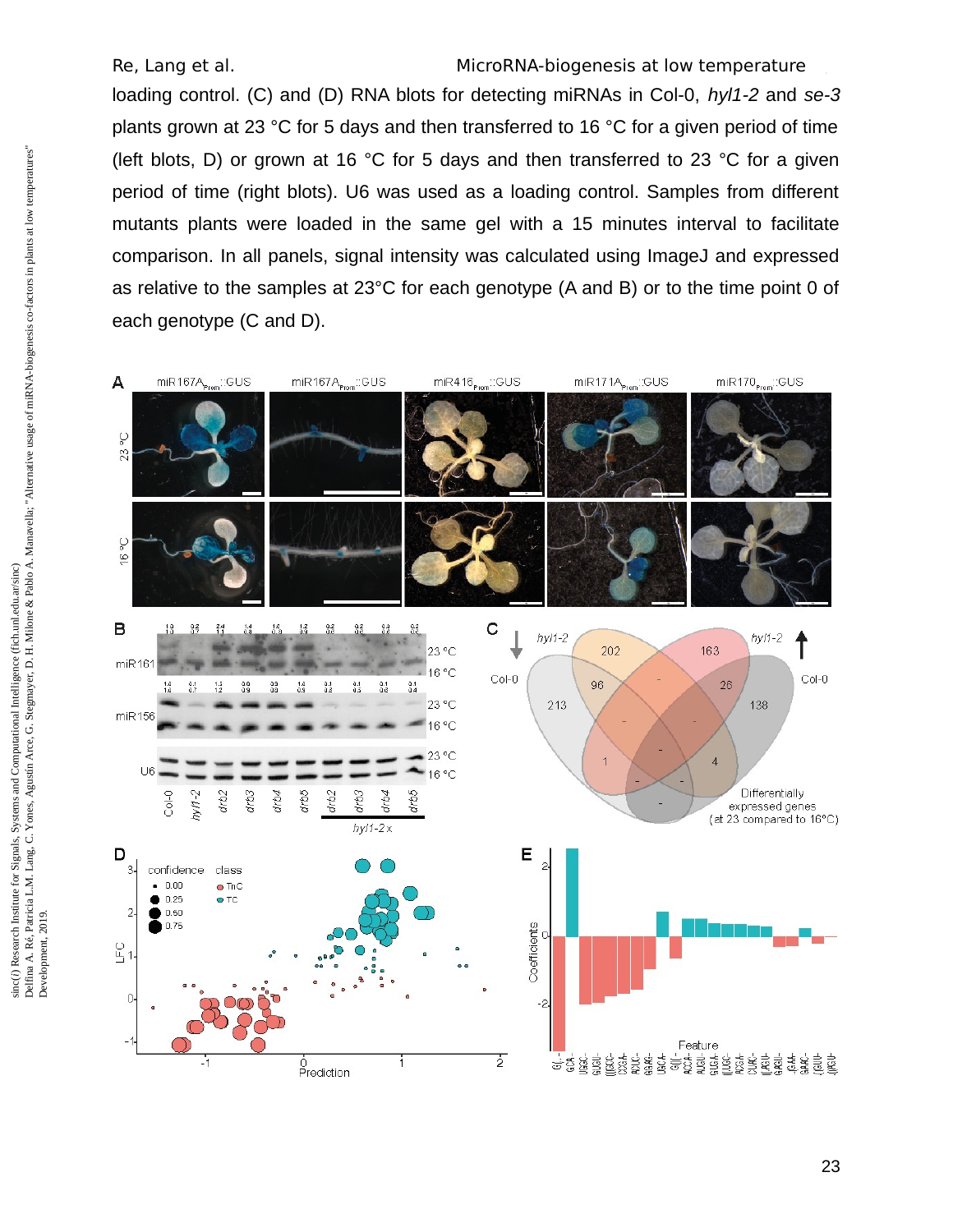Re, Lang et al. The MicroRNA-biogenesis at low temperature loading control. (C) and (D) RNA blots for detecting miRNAs in Col-0, *hyl1-2* and *se-3* plants grown at 23 °C for 5 days and then transferred to 16 °C for a given period of time (left blots, D) or grown at 16 °C for 5 days and then transferred to 23 °C for a given period of time (right blots). U6 was used as a loading control. Samples from different mutants plants were loaded in the same gel with a 15 minutes interval to facilitate comparison. In all panels, signal intensity was calculated using ImageJ and expressed as relative to the samples at 23°C for each genotype (A and B) or to the time point 0 of each genotype (C and D).



smc() research misulute for Signals, Systems and Computational Intelligence (rich.un.cedu.ar/smc)<br>Delfina A. Ré, Patricia L.M. Lang, C. Yones, Agustín Arce, G. Stegmayer, D. H. Milone & Pablo A. Manavella; "Alternative usa Delfina A. Ré, Patricia L.M. Lang, C. Yones, Agustín Arce, G. Stegmayer, D. H. Milone & Pablo A. Manavella; "Alternative usage of miRNA-biogenesis co-factors in plants at low temperatures" sinc(i) Research Institute for Signals, Systems and Computational Intelligence (fich.unl.edu.ar/sinc) sinc(*i*) Research Institute for Signals, Systems and Computational Intelligence (fich.unl.edu.ar/sinc) Development, 2019.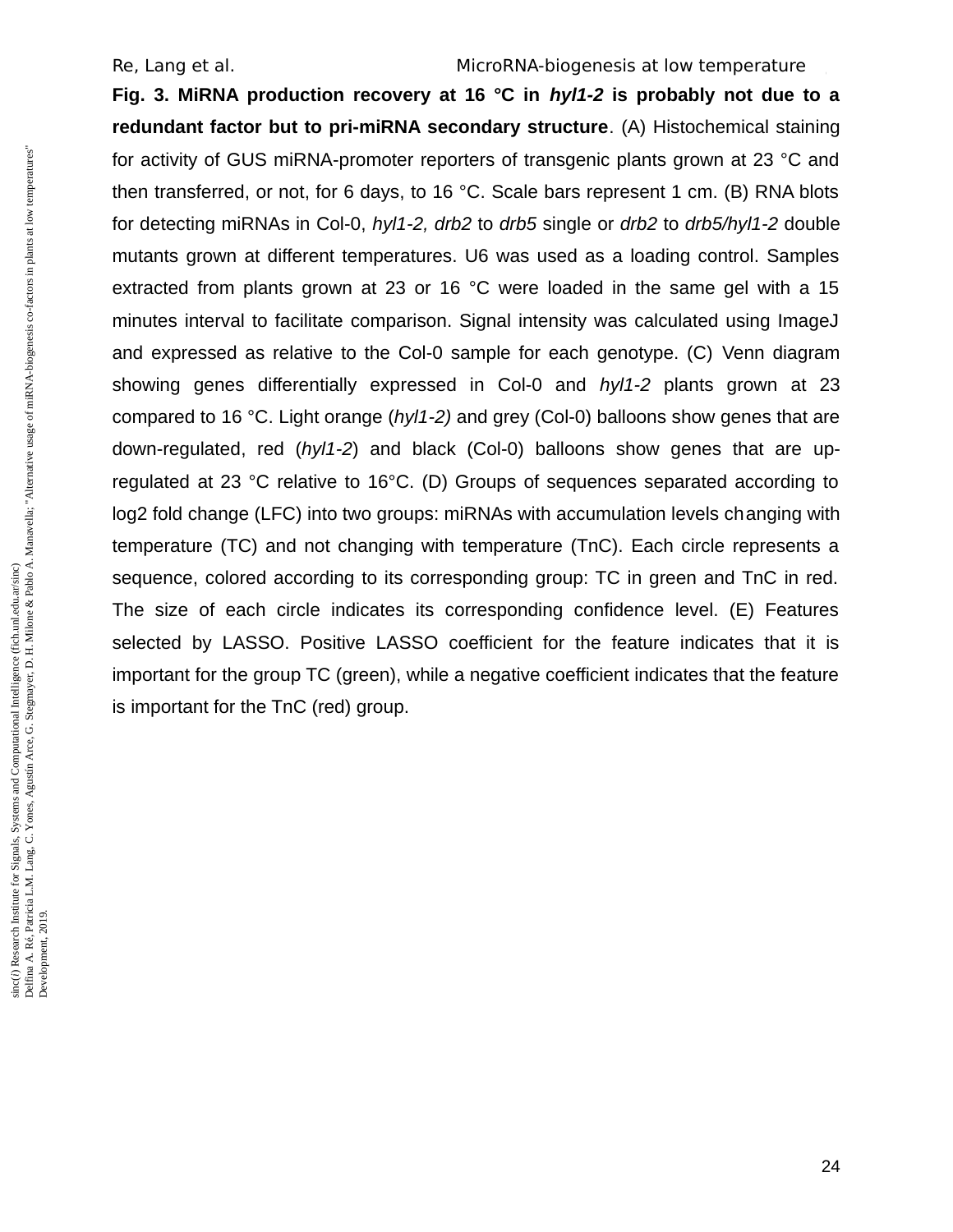**Fig. 3. MiRNA production recovery at 16 °C in** *hyl1-2* **is probably not due to a redundant factor but to pri-miRNA secondary structure**. (A) Histochemical staining for activity of GUS miRNA-promoter reporters of transgenic plants grown at 23 °C and then transferred, or not, for 6 days, to 16 °C. Scale bars represent 1 cm. (B) RNA blots for detecting miRNAs in Col-0, *hyl1-2, drb2* to *drb5* single or *drb2* to *drb5/hyl1-2* double mutants grown at different temperatures. U6 was used as a loading control. Samples extracted from plants grown at 23 or 16 °C were loaded in the same gel with a 15 minutes interval to facilitate comparison. Signal intensity was calculated using ImageJ and expressed as relative to the Col-0 sample for each genotype. (C) Venn diagram showing genes differentially expressed in Col-0 and *hyl1-2* plants grown at 23 compared to 16 °C. Light orange (*hyl1-2)* and grey (Col-0) balloons show genes that are down-regulated, red (*hyl1-2*) and black (Col-0) balloons show genes that are upregulated at 23 °C relative to 16°C. (D) Groups of sequences separated according to log2 fold change (LFC) into two groups: miRNAs with accumulation levels changing with temperature (TC) and not changing with temperature (TnC). Each circle represents a sequence, colored according to its corresponding group: TC in green and TnC in red. The size of each circle indicates its corresponding confidence level. (E) Features selected by LASSO. Positive LASSO coefficient for the feature indicates that it is important for the group TC (green), while a negative coefficient indicates that the feature is important for the TnC (red) group.